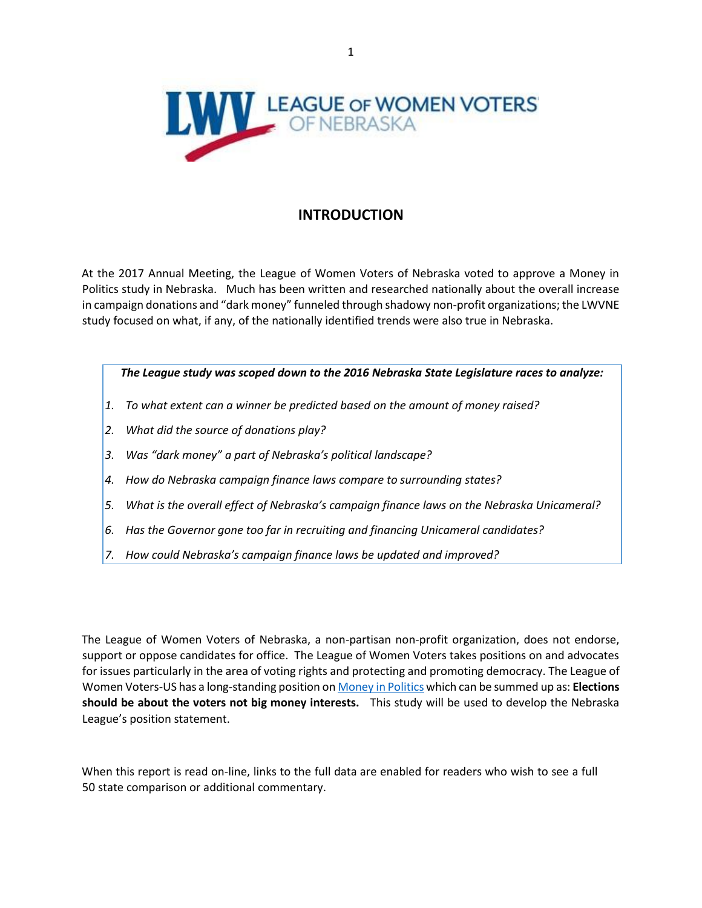

## **INTRODUCTION**

At the 2017 Annual Meeting, the League of Women Voters of Nebraska voted to approve a Money in Politics study in Nebraska. Much has been written and researched nationally about the overall increase in campaign donations and "dark money" funneled through shadowy non-profit organizations; the LWVNE study focused on what, if any, of the nationally identified trends were also true in Nebraska.

#### *The League study was scoped down to the 2016 Nebraska State Legislature races to analyze:*

- *1. To what extent can a winner be predicted based on the amount of money raised?*
- *2. What did the source of donations play?*
- *3. Was "dark money" a part of Nebraska's political landscape?*
- *4. How do Nebraska campaign finance laws compare to surrounding states?*
- *5. What is the overall effect of Nebraska's campaign finance laws on the Nebraska Unicameral?*
- *6. Has the Governor gone too far in recruiting and financing Unicameral candidates?*
- *7. How could Nebraska's campaign finance laws be updated and improved?*

The League of Women Voters of Nebraska, a non-partisan non-profit organization, does not endorse, support or oppose candidates for office. The League of Women Voters takes positions on and advocates for issues particularly in the area of voting rights and protecting and promoting democracy. The League of Women Voters-US has a long-standing position o[n Money in Politics](https://www.lwv.org/voting-rights/money-politics) [w](https://www.lwv.org/voting-rights/money-politics)hich can be summed up as: **Elections should be about the voters not big money interests.** This study will be used to develop the Nebraska League's position statement.

When this report is read on-line, links to the full data are enabled for readers who wish to see a full 50 state comparison or additional commentary.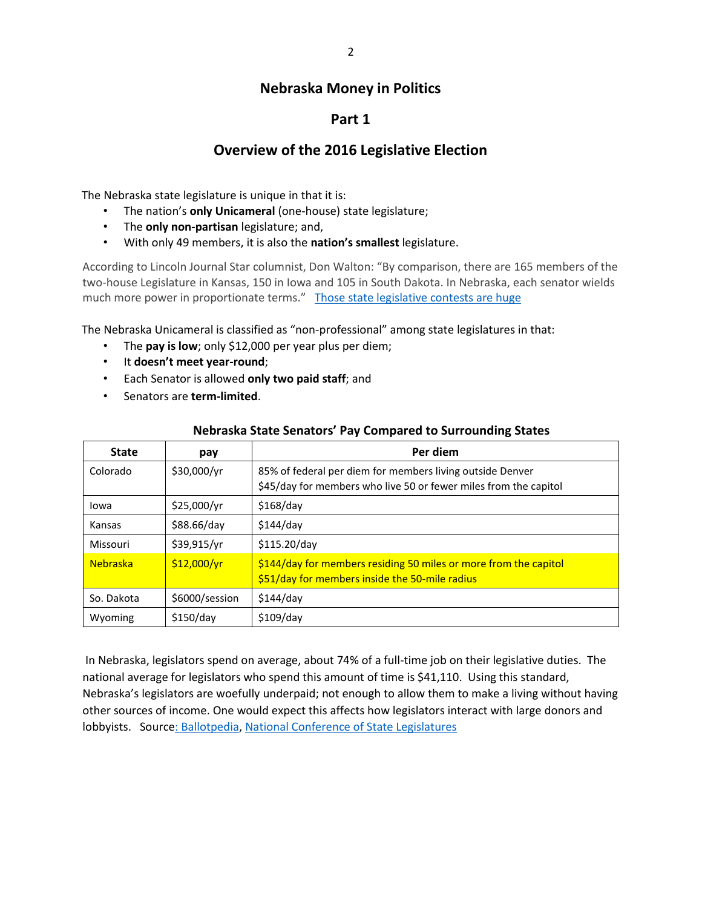# **Nebraska Money in Politics**

## **Part 1**

## **Overview of the 2016 Legislative Election**

The Nebraska state legislature is unique in that it is:

- The nation's **only Unicameral** (one-house) state legislature;
- The **only non-partisan** legislature; and,
- With only 49 members, it is also the **nation's smallest** legislature.

According to Lincoln Journal Star columnist, Don Walton: "By comparison, there are 165 members of the two-house Legislature in Kansas, 150 in Iowa and 105 in South Dakota. In Nebraska, each senator wields much more power in proportionate terms." [Those state legislative contests are huge](https://journalstar.com/news/state-and-regional/govt-and-politics/don-walton-those-state-legislative-contests-are-huge/article_66246374-18db-5064-9de8-54aba1363893.html)

The Nebraska Unicameral is classified as "non-professional" among state legislatures in that:

- The **pay is low**; only \$12,000 per year plus per diem;
- It **doesn't meet year-round**;
- Each Senator is allowed **only two paid staff**; and
- Senators are **term-limited**.

| <b>State</b>    | pay            | Per diem                                                                                                                      |
|-----------------|----------------|-------------------------------------------------------------------------------------------------------------------------------|
| Colorado        | \$30,000/yr    | 85% of federal per diem for members living outside Denver<br>\$45/day for members who live 50 or fewer miles from the capitol |
| lowa            | \$25,000/yr    | \$168/day                                                                                                                     |
| Kansas          | \$88.66/day    | \$144/day                                                                                                                     |
| Missouri        | \$39,915/yr    | \$115.20/day                                                                                                                  |
| <b>Nebraska</b> | \$12,000/yr    | \$144/day for members residing 50 miles or more from the capitol<br>\$51/day for members inside the 50-mile radius            |
| So. Dakota      | \$6000/session | \$144/day                                                                                                                     |
| Wyoming         | \$150/day      | $$109$ /day                                                                                                                   |

#### **Nebraska State Senators' Pay Compared to Surrounding States**

In Nebraska, legislators spend on average, about 74% of a full-time job on their legislative duties. The national average for legislators who spend this amount of time is \$41,110. Using this standard, Nebraska's legislators are woefully underpaid; not enough to allow them to make a living without having other sources of income. One would expect this affects how legislators interact with large donors and lobbyists. Sourc[e: Ballotpedia,](https://ballotpedia.org/Comparison_of_state_legislative_salaries) [National Conference of State Legislatures](http://www.ncsl.org/research/about-state-legislatures/full-and-part-time-legislatures.aspx)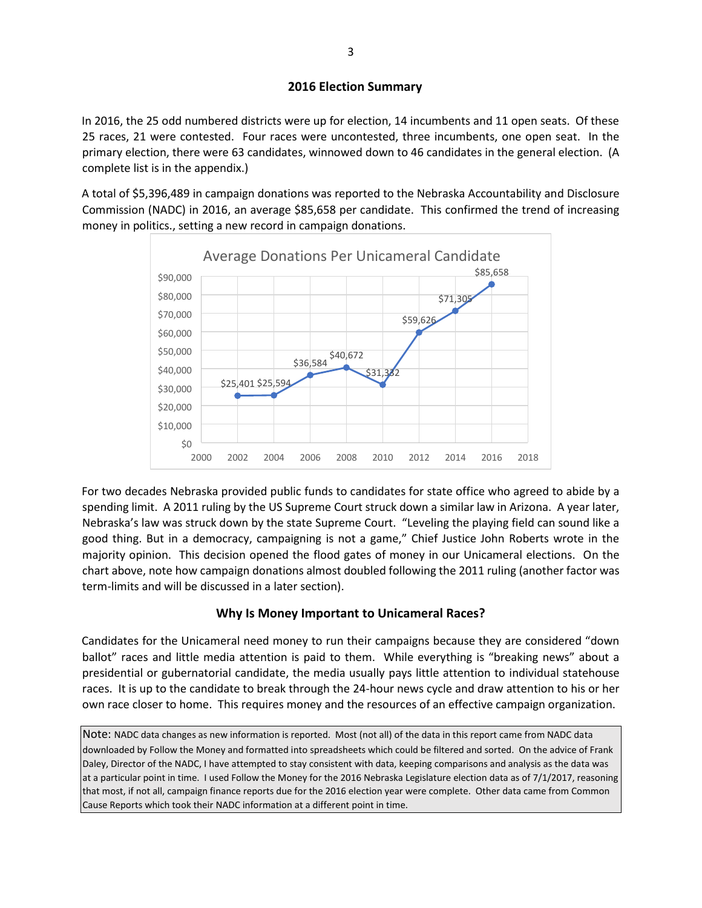#### **2016 Election Summary**

In 2016, the 25 odd numbered districts were up for election, 14 incumbents and 11 open seats. Of these 25 races, 21 were contested. Four races were uncontested, three incumbents, one open seat. In the primary election, there were 63 candidates, winnowed down to 46 candidates in the general election. (A complete list is in the appendix.)

A total of \$5,396,489 in campaign donations was reported to the Nebraska Accountability and Disclosure Commission (NADC) in 2016, an average \$85,658 per candidate. This confirmed the trend of increasing money in politics., setting a new record in campaign donations.



For two decades Nebraska provided public funds to candidates for state office who agreed to abide by a spending limit. A 2011 ruling by the US Supreme Court struck down a similar law in Arizona. A year later, Nebraska's law was struck down by the state Supreme Court. "Leveling the playing field can sound like a good thing. But in a democracy, campaigning is not a game," Chief Justice John Roberts wrote in the majority opinion. This decision opened the flood gates of money in our Unicameral elections. On the chart above, note how campaign donations almost doubled following the 2011 ruling (another factor was term-limits and will be discussed in a later section).

### **Why Is Money Important to Unicameral Races?**

Candidates for the Unicameral need money to run their campaigns because they are considered "down ballot" races and little media attention is paid to them. While everything is "breaking news" about a presidential or gubernatorial candidate, the media usually pays little attention to individual statehouse races. It is up to the candidate to break through the 24-hour news cycle and draw attention to his or her own race closer to home. This requires money and the resources of an effective campaign organization.

Note: NADC data changes as new information is reported. Most (not all) of the data in this report came from NADC data downloaded by Follow the Money and formatted into spreadsheets which could be filtered and sorted. On the advice of Frank Daley, Director of the NADC, I have attempted to stay consistent with data, keeping comparisons and analysis as the data was at a particular point in time. I used Follow the Money for the 2016 Nebraska Legislature election data as of 7/1/2017, reasoning that most, if not all, campaign finance reports due for the 2016 election year were complete. Other data came from Common Cause Reports which took their NADC information at a different point in time.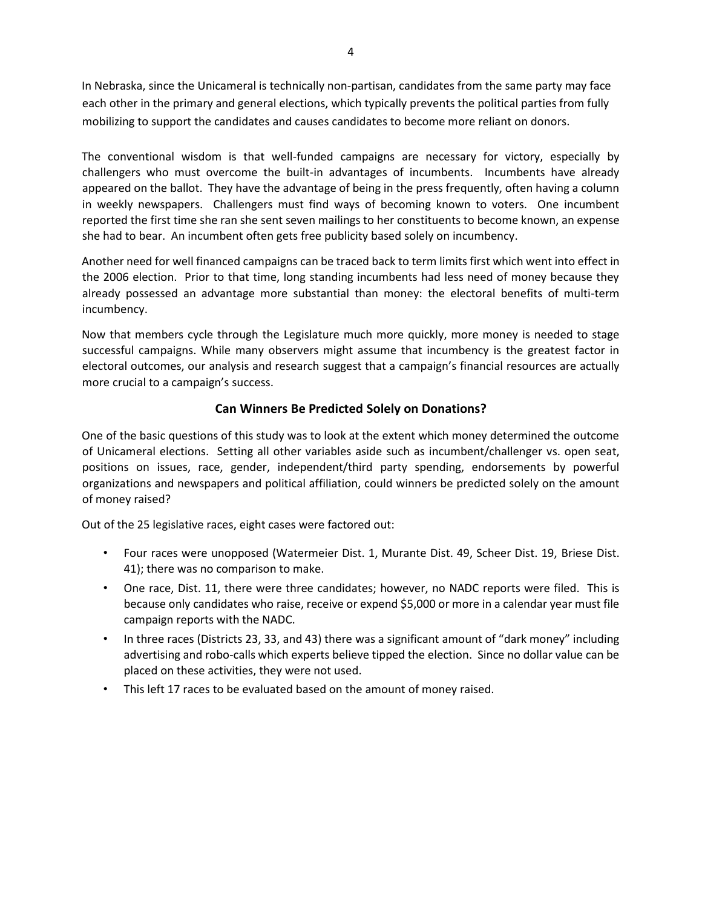In Nebraska, since the Unicameral is technically non-partisan, candidates from the same party may face each other in the primary and general elections, which typically prevents the political parties from fully mobilizing to support the candidates and causes candidates to become more reliant on donors.

The conventional wisdom is that well-funded campaigns are necessary for victory, especially by challengers who must overcome the built-in advantages of incumbents. Incumbents have already appeared on the ballot. They have the advantage of being in the press frequently, often having a column in weekly newspapers. Challengers must find ways of becoming known to voters. One incumbent reported the first time she ran she sent seven mailings to her constituents to become known, an expense she had to bear. An incumbent often gets free publicity based solely on incumbency.

Another need for well financed campaigns can be traced back to term limits first which went into effect in the 2006 election. Prior to that time, long standing incumbents had less need of money because they already possessed an advantage more substantial than money: the electoral benefits of multi-term incumbency.

Now that members cycle through the Legislature much more quickly, more money is needed to stage successful campaigns. While many observers might assume that incumbency is the greatest factor in electoral outcomes, our analysis and research suggest that a campaign's financial resources are actually more crucial to a campaign's success.

### **Can Winners Be Predicted Solely on Donations?**

One of the basic questions of this study was to look at the extent which money determined the outcome of Unicameral elections. Setting all other variables aside such as incumbent/challenger vs. open seat, positions on issues, race, gender, independent/third party spending, endorsements by powerful organizations and newspapers and political affiliation, could winners be predicted solely on the amount of money raised?

Out of the 25 legislative races, eight cases were factored out:

- Four races were unopposed (Watermeier Dist. 1, Murante Dist. 49, Scheer Dist. 19, Briese Dist. 41); there was no comparison to make.
- One race, Dist. 11, there were three candidates; however, no NADC reports were filed. This is because only candidates who raise, receive or expend \$5,000 or more in a calendar year must file campaign reports with the NADC.
- In three races (Districts 23, 33, and 43) there was a significant amount of "dark money" including advertising and robo-calls which experts believe tipped the election. Since no dollar value can be placed on these activities, they were not used.
- This left 17 races to be evaluated based on the amount of money raised.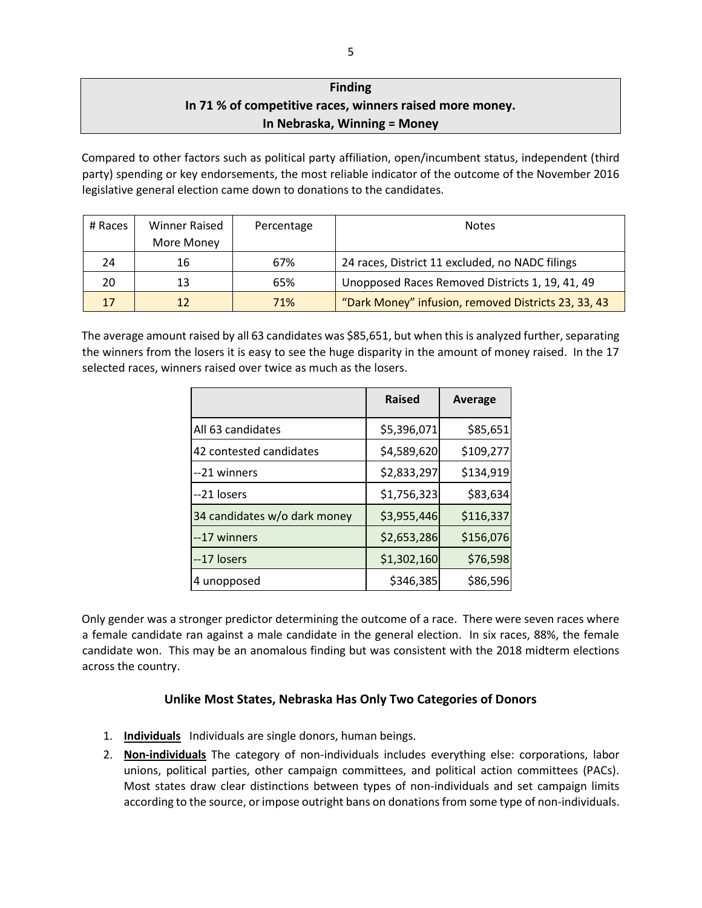# **Finding In 71 % of competitive races, winners raised more money. In Nebraska, Winning = Money**

Compared to other factors such as political party affiliation, open/incumbent status, independent (third party) spending or key endorsements, the most reliable indicator of the outcome of the November 2016 legislative general election came down to donations to the candidates.

| # Races | Winner Raised<br>More Money | Percentage | <b>Notes</b>                                        |
|---------|-----------------------------|------------|-----------------------------------------------------|
| 24      | 16                          | 67%        | 24 races, District 11 excluded, no NADC filings     |
| 20      | 13                          | 65%        | Unopposed Races Removed Districts 1, 19, 41, 49     |
| 17      | 12                          | 71%        | "Dark Money" infusion, removed Districts 23, 33, 43 |

The average amount raised by all 63 candidates was \$85,651, but when this is analyzed further, separating the winners from the losers it is easy to see the huge disparity in the amount of money raised. In the 17 selected races, winners raised over twice as much as the losers.

|                              | <b>Raised</b> | Average   |
|------------------------------|---------------|-----------|
| All 63 candidates            | \$5,396,071   | \$85,651  |
| 42 contested candidates      | \$4,589,620   | \$109,277 |
| --21 winners                 | \$2,833,297   | \$134,919 |
| --21 losers                  | \$1,756,323   | \$83,634  |
| 34 candidates w/o dark money | \$3,955,446   | \$116,337 |
| --17 winners                 | \$2,653,286   | \$156,076 |
| --17 losers                  | \$1,302,160   | \$76,598  |
| 4 unopposed                  | \$346,385     | \$86,596  |

Only gender was a stronger predictor determining the outcome of a race. There were seven races where a female candidate ran against a male candidate in the general election. In six races, 88%, the female candidate won. This may be an anomalous finding but was consistent with the 2018 midterm elections across the country.

### **Unlike Most States, Nebraska Has Only Two Categories of Donors**

- 1. **Individuals** Individuals are single donors, human beings.
- 2. **Non-individuals** The category of non-individuals includes everything else: corporations, labor unions, political parties, other campaign committees, and political action committees (PACs). Most states draw clear distinctions between types of non-individuals and set campaign limits according to the source, or impose outright bans on donations from some type of non-individuals.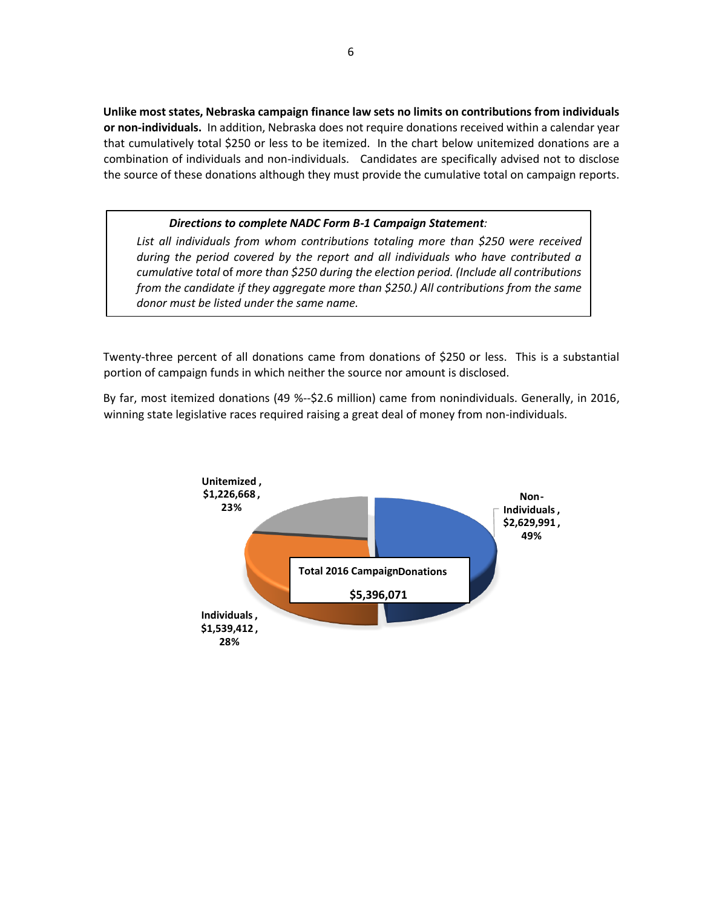**Unlike most states, Nebraska campaign finance law sets no limits on contributions from individuals or non-individuals.** In addition, Nebraska does not require donations received within a calendar year that cumulatively total \$250 or less to be itemized. In the chart below unitemized donations are a combination of individuals and non-individuals. Candidates are specifically advised not to disclose the source of these donations although they must provide the cumulative total on campaign reports.

#### *Directions to complete NADC Form B-1 Campaign Statement:*

*List all individuals from whom contributions totaling more than \$250 were received during the period covered by the report and all individuals who have contributed a cumulative total* of *more than \$250 during the election period. (Include all contributions from the candidate if they aggregate more than \$250.) All contributions from the same donor must be listed under the same name.*

Twenty-three percent of all donations came from donations of \$250 or less. This is a substantial portion of campaign funds in which neither the source nor amount is disclosed.

By far, most itemized donations (49 %--\$2.6 million) came from nonindividuals. Generally, in 2016, winning state legislative races required raising a great deal of money from non-individuals.

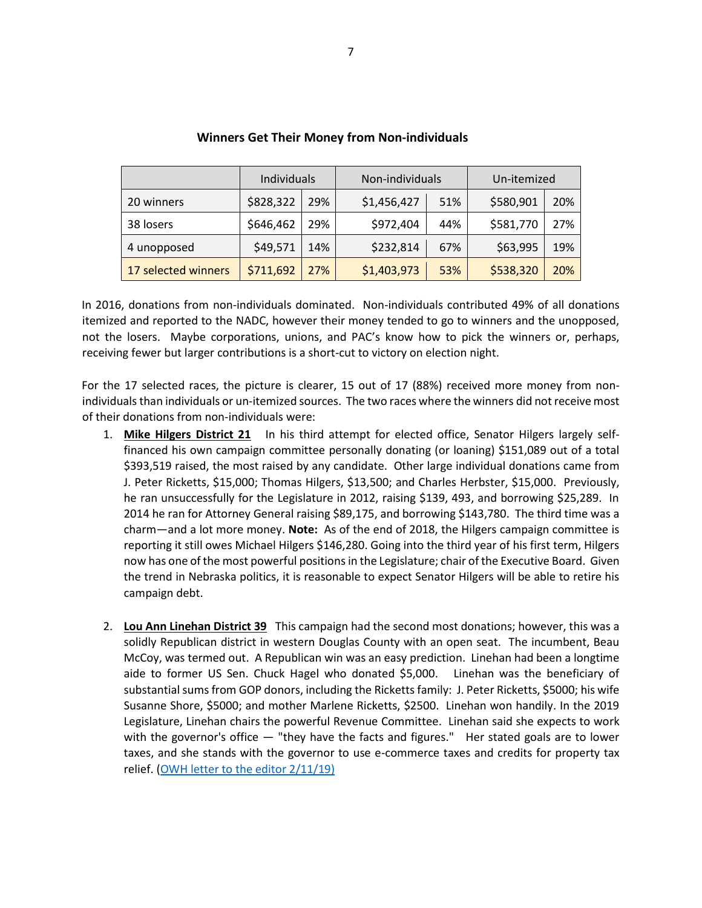|                     | Individuals |     | Non-individuals |     | Un-itemized |     |
|---------------------|-------------|-----|-----------------|-----|-------------|-----|
| 20 winners          | \$828,322   | 29% | \$1,456,427     | 51% |             | 20% |
| 38 losers           | \$646,462   | 29% | \$972,404       | 44% | \$581,770   | 27% |
| 4 unopposed         | \$49,571    | 14% | \$232,814       | 67% | \$63,995    | 19% |
| 17 selected winners | \$711,692   | 27% | \$1,403,973     | 53% | \$538,320   | 20% |

#### **Winners Get Their Money from Non-individuals**

In 2016, donations from non-individuals dominated. Non-individuals contributed 49% of all donations itemized and reported to the NADC, however their money tended to go to winners and the unopposed, not the losers. Maybe corporations, unions, and PAC's know how to pick the winners or, perhaps, receiving fewer but larger contributions is a short-cut to victory on election night.

For the 17 selected races, the picture is clearer, 15 out of 17 (88%) received more money from nonindividuals than individuals or un-itemized sources. The two races where the winners did not receive most of their donations from non-individuals were:

- 1. **Mike Hilgers District 21** In his third attempt for elected office, Senator Hilgers largely selffinanced his own campaign committee personally donating (or loaning) \$151,089 out of a total \$393,519 raised, the most raised by any candidate. Other large individual donations came from J. Peter Ricketts, \$15,000; Thomas Hilgers, \$13,500; and Charles Herbster, \$15,000. Previously, he ran unsuccessfully for the Legislature in 2012, raising \$139, 493, and borrowing \$25,289. In 2014 he ran for Attorney General raising \$89,175, and borrowing \$143,780. The third time was a charm—and a lot more money. **Note:** As of the end of 2018, the Hilgers campaign committee is reporting it still owes Michael Hilgers \$146,280. Going into the third year of his first term, Hilgers now has one of the most powerful positions in the Legislature; chair of the Executive Board. Given the trend in Nebraska politics, it is reasonable to expect Senator Hilgers will be able to retire his campaign debt.
- 2. **Lou Ann Linehan District 39** This campaign had the second most donations; however, this was a solidly Republican district in western Douglas County with an open seat. The incumbent, Beau McCoy, was termed out. A Republican win was an easy prediction. Linehan had been a longtime aide to former US Sen. Chuck Hagel who donated \$5,000. Linehan was the beneficiary of substantial sums from GOP donors, including the Ricketts family: J. Peter Ricketts, \$5000; his wife Susanne Shore, \$5000; and mother Marlene Ricketts, \$2500. Linehan won handily. In the 2019 Legislature, Linehan chairs the powerful Revenue Committee. Linehan said she expects to work with the governor's office - "they have the facts and figures." Her stated goals are to lower taxes, and she stands with the governor to use e-commerce taxes and credits for property tax relief. [\(OWH letter to the editor 2/11/19\)](https://www.omaha.com/opinion/the-public-pulse-in-defense-of-omaha-immigrants-follow-the/article_0746f637-3cc0-59d3-b2fc-0737c160d0da.html)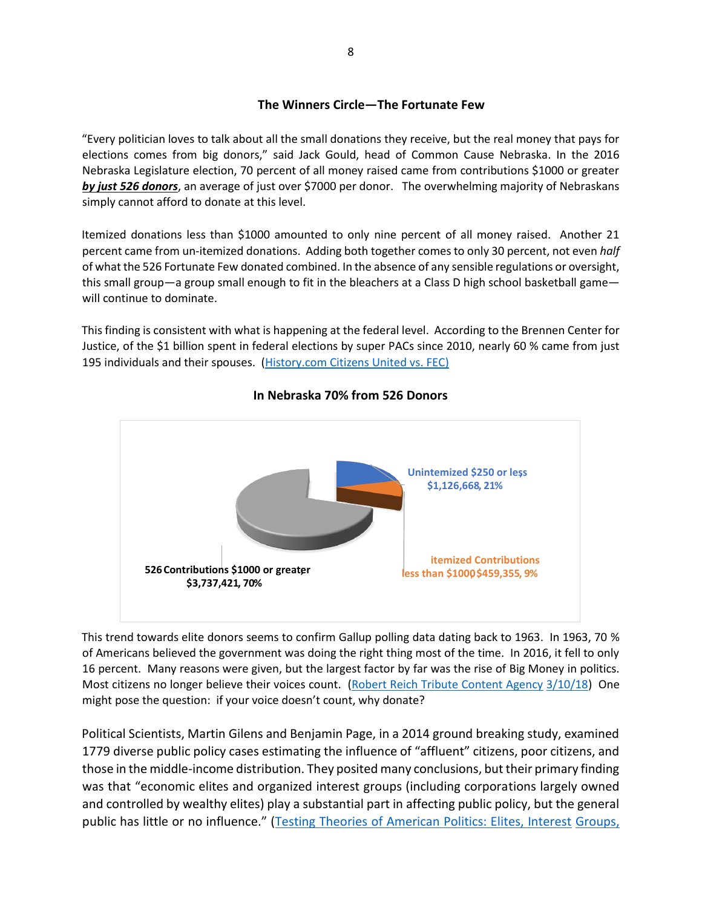#### **The Winners Circle—The Fortunate Few**

"Every politician loves to talk about all the small donations they receive, but the real money that pays for elections comes from big donors," said Jack Gould, head of Common Cause Nebraska. In the 2016 Nebraska Legislature election, 70 percent of all money raised came from contributions \$1000 or greater *by just 526 donors*, an average of just over \$7000 per donor. The overwhelming majority of Nebraskans simply cannot afford to donate at this level.

Itemized donations less than \$1000 amounted to only nine percent of all money raised. Another 21 percent came from un-itemized donations. Adding both together comes to only 30 percent, not even *half*  of what the 526 Fortunate Few donated combined. In the absence of any sensible regulations or oversight, this small group—a group small enough to fit in the bleachers at a Class D high school basketball game will continue to dominate.

This finding is consistent with what is happening at the federal level. According to the Brennen Center for Justice, of the \$1 billion spent in federal elections by super PACs since 2010, nearly 60 % came from just 195 individuals and their spouses. [\(History.com Citizens United vs. FEC\)](https://www.history.com/topics/united-states-constitution/citizens-united)



### **In Nebraska 70% from 526 Donors**

This trend towards elite donors seems to confirm Gallup polling data dating back to 1963. In 1963, 70 % of Americans believed the government was doing the right thing most of the time. In 2016, it fell to only 16 percent. Many reasons were given, but the largest factor by far was the rise of Big Money in politics. Most citizens no longer believe their voices count. [\(Robert Reich Tribute Content Agency](https://journalstar.com/opinion/columnists/robert-reich-kushner-s-finances-present-major-conflicts/article_5a3d4238-2970-58ce-a0a7-bcd5790be7dd.html) [3/10/18\)](https://journalstar.com/opinion/columnists/robert-reich-kushner-s-finances-present-major-conflicts/article_5a3d4238-2970-58ce-a0a7-bcd5790be7dd.html) One might pose the question: if your voice doesn't count, why donate?

Political Scientists, Martin Gilens and Benjamin Page, in a 2014 ground breaking study, examined 1779 diverse public policy cases estimating the influence of "affluent" citizens, poor citizens, and those in the middle-income distribution. They posited many conclusions, but their primary finding was that "economic elites and organized interest groups (including corporations largely owned and controlled by wealthy elites) play a substantial part in affecting public policy, but the general public has little or no influence." ([Testing Theories of American Politics: Elites, Interest](https://scholar.princeton.edu/sites/default/files/mgilens/files/gilens_and_page_2014_-testing_theories_of_american_politics.doc.pdf) [Groups,](https://scholar.princeton.edu/sites/default/files/mgilens/files/gilens_and_page_2014_-testing_theories_of_american_politics.doc.pdf)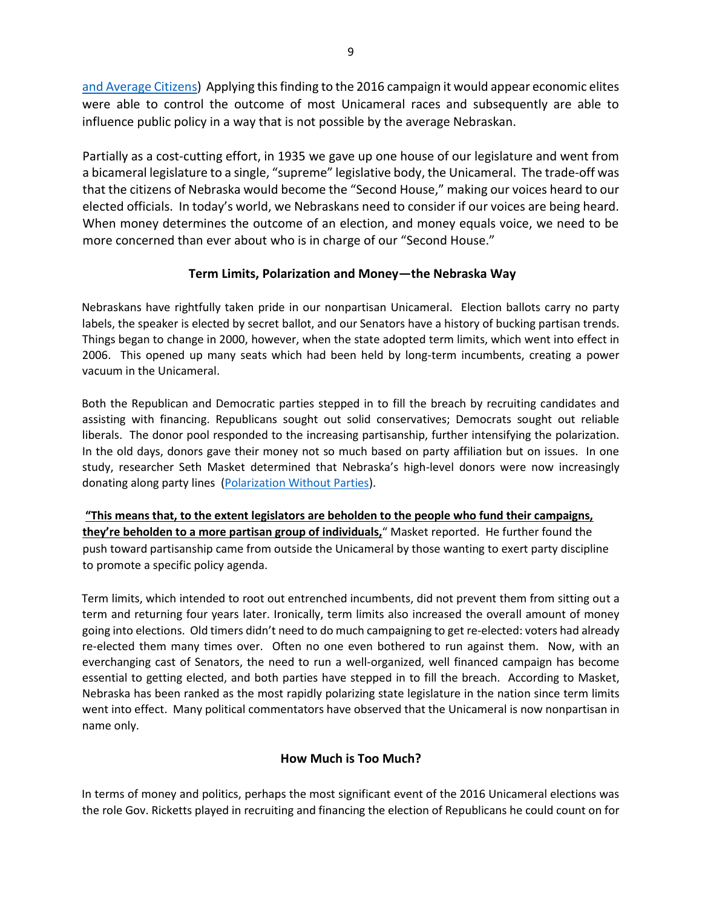[and Average](https://scholar.princeton.edu/sites/default/files/mgilens/files/gilens_and_page_2014_-testing_theories_of_american_politics.doc.pdf) [Citizens\)](https://scholar.princeton.edu/sites/default/files/mgilens/files/gilens_and_page_2014_-testing_theories_of_american_politics.doc.pdf) Applying this finding to the 2016 campaign it would appear economic elites were able to control the outcome of most Unicameral races and subsequently are able to influence public policy in a way that is not possible by the average Nebraskan.

Partially as a cost-cutting effort, in 1935 we gave up one house of our legislature and went from a bicameral legislature to a single, "supreme" legislative body, the Unicameral. The trade-off was that the citizens of Nebraska would become the "Second House," making our voices heard to our elected officials. In today's world, we Nebraskans need to consider if our voices are being heard. When money determines the outcome of an election, and money equals voice, we need to be more concerned than ever about who is in charge of our "Second House."

### **Term Limits, Polarization and Money—the Nebraska Way**

Nebraskans have rightfully taken pride in our nonpartisan Unicameral. Election ballots carry no party labels, the speaker is elected by secret ballot, and our Senators have a history of bucking partisan trends. Things began to change in 2000, however, when the state adopted term limits, which went into effect in 2006. This opened up many seats which had been held by long-term incumbents, creating a power vacuum in the Unicameral.

Both the Republican and Democratic parties stepped in to fill the breach by recruiting candidates and assisting with financing. Republicans sought out solid conservatives; Democrats sought out reliable liberals. The donor pool responded to the increasing partisanship, further intensifying the polarization. In the old days, donors gave their money not so much based on party affiliation but on issues. In one study, researcher Seth Masket determined that Nebraska's high-level donors were now increasingly donating along party lines [\(Polarization Without Parties\).](https://papers.ssrn.com/sol3/papers.cfm?abstract_id=1916342)

**"This means that, to the extent legislators are beholden to the people who fund their campaigns, they're beholden to a more partisan group of individuals,**" Masket reported. He further found the push toward partisanship came from outside the Unicameral by those wanting to exert party discipline to promote a specific policy agenda.

Term limits, which intended to root out entrenched incumbents, did not prevent them from sitting out a term and returning four years later. Ironically, term limits also increased the overall amount of money going into elections. Old timers didn't need to do much campaigning to get re-elected: voters had already re-elected them many times over. Often no one even bothered to run against them. Now, with an everchanging cast of Senators, the need to run a well-organized, well financed campaign has become essential to getting elected, and both parties have stepped in to fill the breach. According to Masket, Nebraska has been ranked as the most rapidly polarizing state legislature in the nation since term limits went into effect. Many political commentators have observed that the Unicameral is now nonpartisan in name only.

### **How Much is Too Much?**

In terms of money and politics, perhaps the most significant event of the 2016 Unicameral elections was the role Gov. Ricketts played in recruiting and financing the election of Republicans he could count on for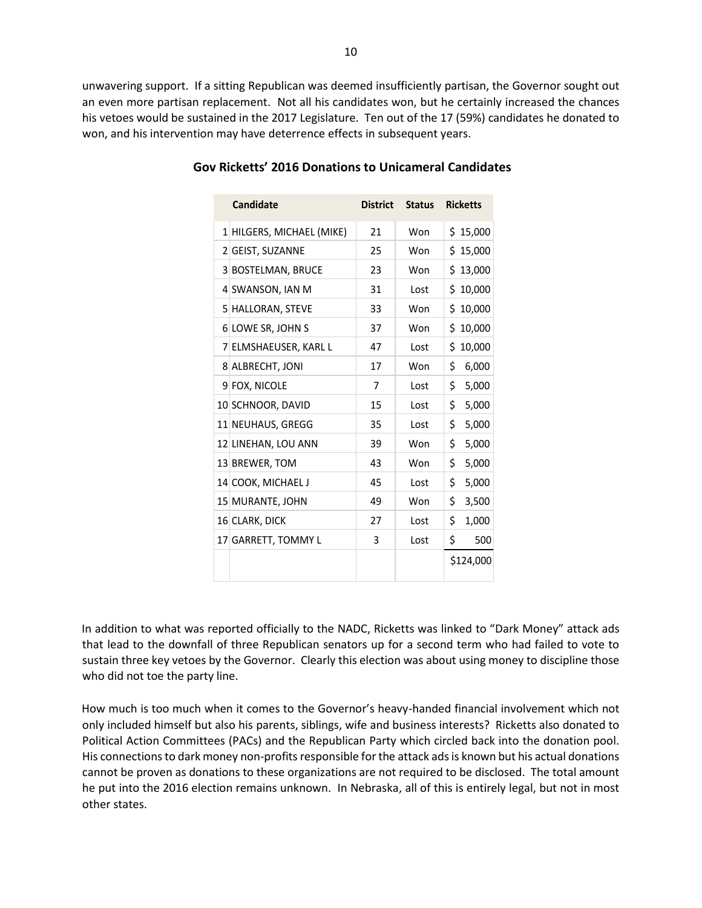unwavering support. If a sitting Republican was deemed insufficiently partisan, the Governor sought out an even more partisan replacement. Not all his candidates won, but he certainly increased the chances his vetoes would be sustained in the 2017 Legislature. Ten out of the 17 (59%) candidates he donated to won, and his intervention may have deterrence effects in subsequent years.

| <b>Candidate</b>          | <b>District</b> | <b>Status</b> | <b>Ricketts</b> |
|---------------------------|-----------------|---------------|-----------------|
| 1 HILGERS, MICHAEL (MIKE) | 21              | Won           | \$15,000        |
| 2 GEIST, SUZANNE          | 25              | Won           | \$15,000        |
| 3 BOSTELMAN, BRUCE        | 23              | Won           | \$13,000        |
| 4 SWANSON, IAN M          | 31              | Lost          | 10,000<br>\$    |
| 5 HALLORAN, STEVE         | 33              | Won           | Ś.<br>10,000    |
| 6 LOWE SR, JOHN S         | 37              | Won           | \$<br>10,000    |
| 7 ELMSHAEUSER, KARL L     | 47              | Lost          | \$<br>10,000    |
| 8 ALBRECHT, JONI          | 17              | Won           | \$<br>6,000     |
| 9 FOX, NICOLE             | 7               | Lost          | \$<br>5,000     |
| 10 SCHNOOR, DAVID         | 15              | Lost          | \$<br>5,000     |
| 11 NEUHAUS, GREGG         | 35              | Lost          | \$<br>5,000     |
| 12 LINEHAN, LOU ANN       | 39              | Won           | \$<br>5,000     |
| 13 BREWER, TOM            | 43              | Won           | \$<br>5,000     |
| 14 COOK, MICHAEL J        | 45              | Lost          | \$<br>5,000     |
| 15 MURANTE, JOHN          | 49              | Won           | \$<br>3,500     |
| 16 CLARK, DICK            | 27              | Lost          | \$<br>1,000     |
| 17 GARRETT, TOMMY L       | 3               | Lost          | \$<br>500       |
|                           |                 |               | \$124,000       |

#### **Gov Ricketts' 2016 Donations to Unicameral Candidates**

In addition to what was reported officially to the NADC, Ricketts was linked to "Dark Money" attack ads that lead to the downfall of three Republican senators up for a second term who had failed to vote to sustain three key vetoes by the Governor. Clearly this election was about using money to discipline those who did not toe the party line.

How much is too much when it comes to the Governor's heavy-handed financial involvement which not only included himself but also his parents, siblings, wife and business interests? Ricketts also donated to Political Action Committees (PACs) and the Republican Party which circled back into the donation pool. His connections to dark money non-profits responsible for the attack ads is known but his actual donations cannot be proven as donations to these organizations are not required to be disclosed. The total amount he put into the 2016 election remains unknown. In Nebraska, all of this is entirely legal, but not in most other states.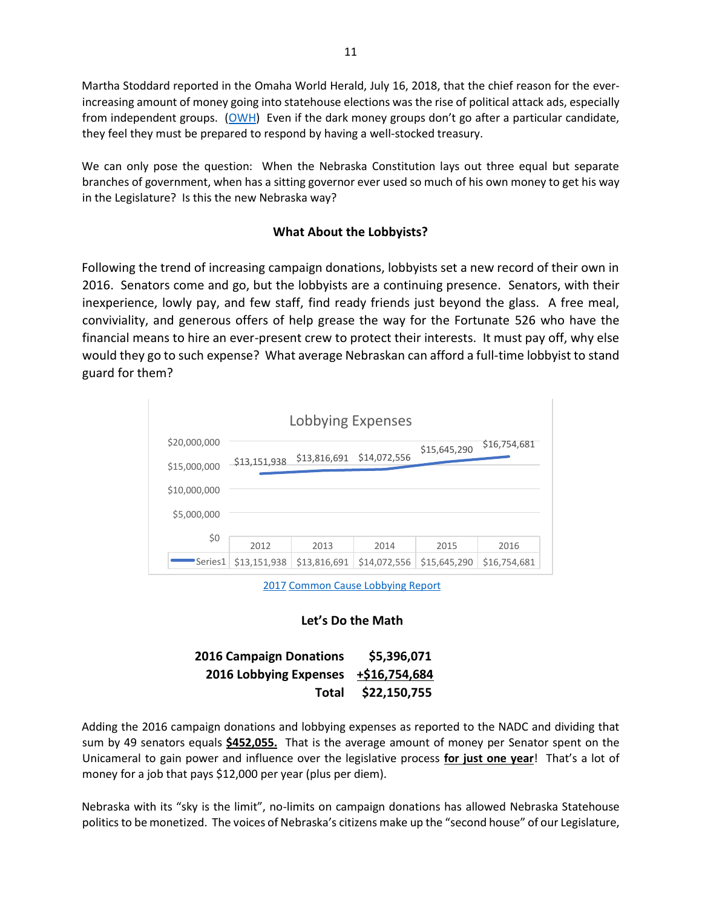Martha Stoddard reported in the Omaha World Herald, July 16, 2018, that the chief reason for the everincreasing amount of money going into statehouse elections was the rise of political attack ads, especially from independent groups.  $(OWH)$  Even if the dark money groups don't go after a particular candidate, they feel they must be prepared to respond by having a well-stocked treasury.

We can only pose the question: When the Nebraska Constitution lays out three equal but separate branches of government, when has a sitting governor ever used so much of his own money to get his way in the Legislature? Is this the new Nebraska way?

### **What About the Lobbyists?**

Following the trend of increasing campaign donations, lobbyists set a new record of their own in 2016. Senators come and go, but the lobbyists are a continuing presence. Senators, with their inexperience, lowly pay, and few staff, find ready friends just beyond the glass. A free meal, conviviality, and generous offers of help grease the way for the Fortunate 526 who have the financial means to hire an ever-present crew to protect their interests. It must pay off, why else would they go to such expense? What average Nebraskan can afford a full-time lobbyist to stand guard for them?



[2017](http://www.commoncause.org/nebraska/wp-content/uploads/sites/18/2018/03/2017-CCNE-Lobby-Report-final.pdf) [C](http://www.commoncause.org/nebraska/wp-content/uploads/sites/18/2018/03/2017-CCNE-Lobby-Report-final.pdf)ommon [Cause Lobbying Report](http://www.commoncause.org/nebraska/wp-content/uploads/sites/18/2018/03/2017-CCNE-Lobby-Report-final.pdf)

### **Let's Do the Math**

| <b>2016 Campaign Donations</b> | \$5,396,071   |
|--------------------------------|---------------|
| 2016 Lobbying Expenses         | +\$16,754,684 |
| Total                          | \$22,150,755  |

Adding the 2016 campaign donations and lobbying expenses as reported to the NADC and dividing that sum by 49 senators equals **\$452,055.** That is the average amount of money per Senator spent on the Unicameral to gain power and influence over the legislative process **for just one year**! That's a lot of money for a job that pays \$12,000 per year (plus per diem).

Nebraska with its "sky is the limit", no-limits on campaign donations has allowed Nebraska Statehouse politics to be monetized. The voices of Nebraska's citizens make up the "second house" of our Legislature,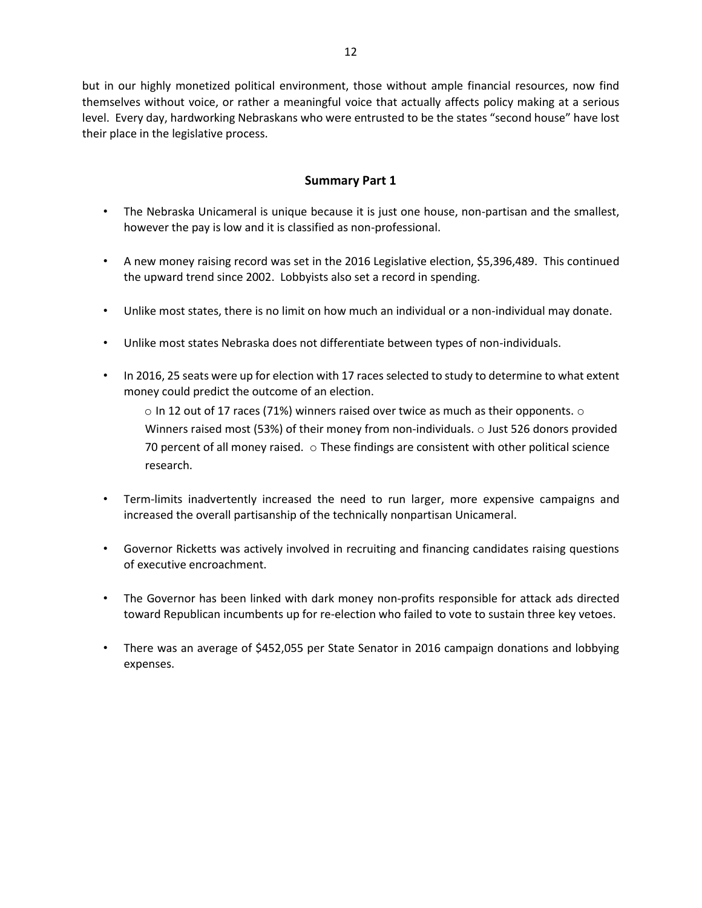but in our highly monetized political environment, those without ample financial resources, now find themselves without voice, or rather a meaningful voice that actually affects policy making at a serious level. Every day, hardworking Nebraskans who were entrusted to be the states "second house" have lost their place in the legislative process.

### **Summary Part 1**

- The Nebraska Unicameral is unique because it is just one house, non-partisan and the smallest, however the pay is low and it is classified as non-professional.
- A new money raising record was set in the 2016 Legislative election, \$5,396,489. This continued the upward trend since 2002. Lobbyists also set a record in spending.
- Unlike most states, there is no limit on how much an individual or a non-individual may donate.
- Unlike most states Nebraska does not differentiate between types of non-individuals.
- In 2016, 25 seats were up for election with 17 races selected to study to determine to what extent money could predict the outcome of an election.

 $\circ$  In 12 out of 17 races (71%) winners raised over twice as much as their opponents.  $\circ$ Winners raised most (53%) of their money from non-individuals. o Just 526 donors provided 70 percent of all money raised.  $\circ$  These findings are consistent with other political science research.

- Term-limits inadvertently increased the need to run larger, more expensive campaigns and increased the overall partisanship of the technically nonpartisan Unicameral.
- Governor Ricketts was actively involved in recruiting and financing candidates raising questions of executive encroachment.
- The Governor has been linked with dark money non-profits responsible for attack ads directed toward Republican incumbents up for re-election who failed to vote to sustain three key vetoes.
- There was an average of \$452,055 per State Senator in 2016 campaign donations and lobbying expenses.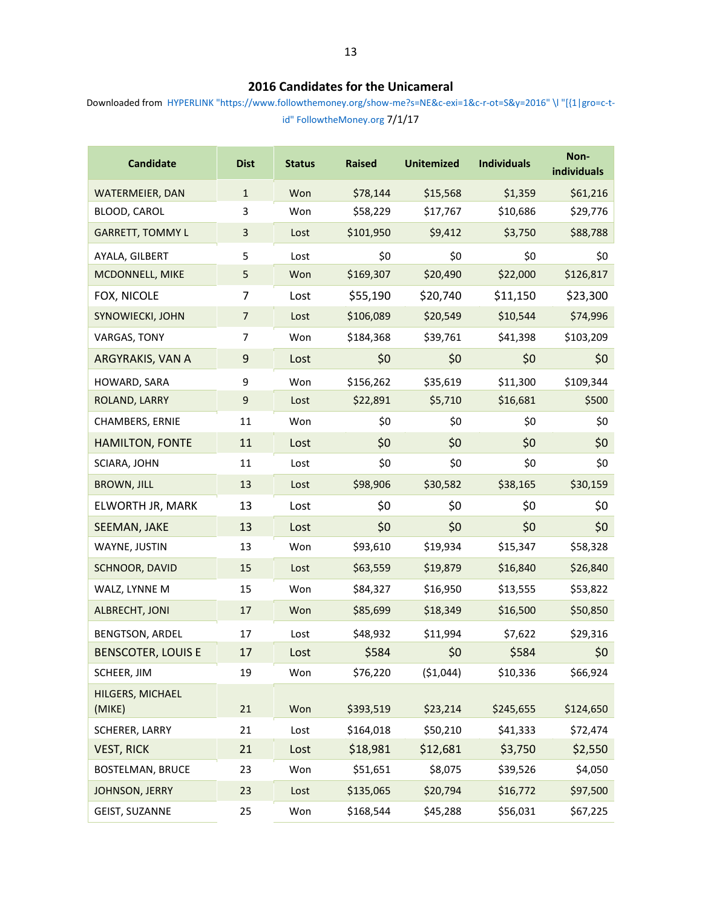### **2016 Candidates for the Unicameral**

Downloaded from HYPERLINK "https://www.followthemoney.org/show-me?s=NE&c-exi=1&c-r-ot=S&y=2016" \l "[{1|gro=c-tid" FollowtheMoney.org 7/1/17

| <b>Candidate</b>           | <b>Dist</b>               | <b>Status</b> | <b>Raised</b> | <b>Unitemized</b> | <b>Individuals</b> | Non-<br>individuals |
|----------------------------|---------------------------|---------------|---------------|-------------------|--------------------|---------------------|
| WATERMEIER, DAN            | $\mathbf 1$               | Won           | \$78,144      | \$15,568          | \$1,359            | \$61,216            |
| BLOOD, CAROL               | 3                         | Won           | \$58,229      | \$17,767          | \$10,686           | \$29,776            |
| <b>GARRETT, TOMMY L</b>    | $\ensuremath{\mathsf{3}}$ | Lost          | \$101,950     | \$9,412           | \$3,750            | \$88,788            |
| AYALA, GILBERT             | 5                         | Lost          | \$0           | \$0               | \$0                | \$0                 |
| MCDONNELL, MIKE            | 5                         | Won           | \$169,307     | \$20,490          | \$22,000           | \$126,817           |
| FOX, NICOLE                | 7                         | Lost          | \$55,190      | \$20,740          | \$11,150           | \$23,300            |
| SYNOWIECKI, JOHN           | $\overline{7}$            | Lost          | \$106,089     | \$20,549          | \$10,544           | \$74,996            |
| VARGAS, TONY               | 7                         | Won           | \$184,368     | \$39,761          | \$41,398           | \$103,209           |
| ARGYRAKIS, VAN A           | $\boldsymbol{9}$          | Lost          | \$0           | \$0               | \$0                | \$0                 |
| HOWARD, SARA               | 9                         | Won           | \$156,262     | \$35,619          | \$11,300           | \$109,344           |
| ROLAND, LARRY              | $\mathsf 9$               | Lost          | \$22,891      | \$5,710           | \$16,681           | \$500               |
| CHAMBERS, ERNIE            | 11                        | Won           | \$0           | \$0               | \$0                | \$0                 |
| <b>HAMILTON, FONTE</b>     | 11                        | Lost          | \$0           | \$0               | \$0                | \$0                 |
| SCIARA, JOHN               | 11                        | Lost          | \$0           | \$0               | \$0                | \$0                 |
| <b>BROWN, JILL</b>         | 13                        | Lost          | \$98,906      | \$30,582          | \$38,165           | \$30,159            |
| ELWORTH JR, MARK           | 13                        | Lost          | \$0           | \$0               | \$0                | \$0                 |
| SEEMAN, JAKE               | 13                        | Lost          | \$0           | \$0               | \$0                | \$0                 |
| WAYNE, JUSTIN              | 13                        | Won           | \$93,610      | \$19,934          | \$15,347           | \$58,328            |
| SCHNOOR, DAVID             | 15                        | Lost          | \$63,559      | \$19,879          | \$16,840           | \$26,840            |
| WALZ, LYNNE M              | 15                        | Won           | \$84,327      | \$16,950          | \$13,555           | \$53,822            |
| <b>ALBRECHT, JONI</b>      | 17                        | Won           | \$85,699      | \$18,349          | \$16,500           | \$50,850            |
| <b>BENGTSON, ARDEL</b>     | 17                        | Lost          | \$48,932      | \$11,994          | \$7,622            | \$29,316            |
| <b>BENSCOTER, LOUIS E</b>  | 17                        | Lost          | \$584         | \$0               | \$584              | \$0                 |
| SCHEER, JIM                | 19                        | Won           | \$76,220      | ( \$1,044)        | \$10,336           | \$66,924            |
| HILGERS, MICHAEL<br>(MIKE) | 21                        | Won           | \$393,519     | \$23,214          | \$245,655          | \$124,650           |
| SCHERER, LARRY             | 21                        | Lost          | \$164,018     | \$50,210          | \$41,333           | \$72,474            |
| <b>VEST, RICK</b>          | 21                        | Lost          | \$18,981      | \$12,681          | \$3,750            | \$2,550             |
| <b>BOSTELMAN, BRUCE</b>    | 23                        | Won           | \$51,651      | \$8,075           | \$39,526           | \$4,050             |
| JOHNSON, JERRY             | 23                        | Lost          | \$135,065     | \$20,794          | \$16,772           | \$97,500            |
| GEIST, SUZANNE             | 25                        | Won           | \$168,544     | \$45,288          | \$56,031           | \$67,225            |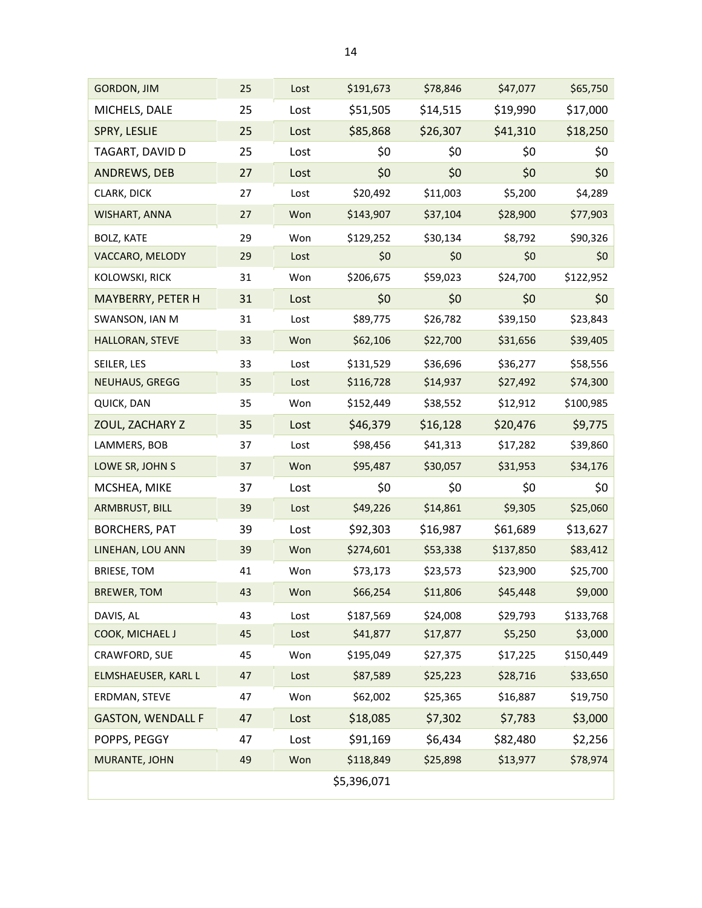| <b>GORDON, JIM</b>       | 25 | Lost | \$191,673   | \$78,846 | \$47,077  | \$65,750  |
|--------------------------|----|------|-------------|----------|-----------|-----------|
| MICHELS, DALE            | 25 | Lost | \$51,505    | \$14,515 | \$19,990  | \$17,000  |
| SPRY, LESLIE             | 25 | Lost | \$85,868    | \$26,307 | \$41,310  | \$18,250  |
| TAGART, DAVID D          | 25 | Lost | \$0         | \$0      | \$0       | \$0       |
| ANDREWS, DEB             | 27 | Lost | \$0         | \$0      | \$0       | \$0       |
| CLARK, DICK              | 27 | Lost | \$20,492    | \$11,003 | \$5,200   | \$4,289   |
| WISHART, ANNA            | 27 | Won  | \$143,907   | \$37,104 | \$28,900  | \$77,903  |
| <b>BOLZ, KATE</b>        | 29 | Won  | \$129,252   | \$30,134 | \$8,792   | \$90,326  |
| VACCARO, MELODY          | 29 | Lost | \$0         | \$0      | \$0       | \$0       |
| KOLOWSKI, RICK           | 31 | Won  | \$206,675   | \$59,023 | \$24,700  | \$122,952 |
| MAYBERRY, PETER H        | 31 | Lost | \$0         | \$0      | \$0       | \$0       |
| SWANSON, IAN M           | 31 | Lost | \$89,775    | \$26,782 | \$39,150  | \$23,843  |
| HALLORAN, STEVE          | 33 | Won  | \$62,106    | \$22,700 | \$31,656  | \$39,405  |
| SEILER, LES              | 33 | Lost | \$131,529   | \$36,696 | \$36,277  | \$58,556  |
| <b>NEUHAUS, GREGG</b>    | 35 | Lost | \$116,728   | \$14,937 | \$27,492  | \$74,300  |
| QUICK, DAN               | 35 | Won  | \$152,449   | \$38,552 | \$12,912  | \$100,985 |
| ZOUL, ZACHARY Z          | 35 | Lost | \$46,379    | \$16,128 | \$20,476  | \$9,775   |
| LAMMERS, BOB             | 37 | Lost | \$98,456    | \$41,313 | \$17,282  | \$39,860  |
| LOWE SR, JOHN S          | 37 | Won  | \$95,487    | \$30,057 | \$31,953  | \$34,176  |
| MCSHEA, MIKE             | 37 | Lost | \$0         | \$0      | \$0       | \$0       |
| ARMBRUST, BILL           | 39 | Lost | \$49,226    | \$14,861 | \$9,305   | \$25,060  |
| <b>BORCHERS, PAT</b>     | 39 | Lost | \$92,303    | \$16,987 | \$61,689  | \$13,627  |
| LINEHAN, LOU ANN         | 39 | Won  | \$274,601   | \$53,338 | \$137,850 | \$83,412  |
| <b>BRIESE, TOM</b>       | 41 | Won  | \$73,173    | \$23,573 | \$23,900  | \$25,700  |
| <b>BREWER, TOM</b>       | 43 | Won  | \$66,254    | \$11,806 | \$45,448  | \$9,000   |
| DAVIS, AL                | 43 | Lost | \$187,569   | \$24,008 | \$29,793  | \$133,768 |
| COOK, MICHAEL J          | 45 | Lost | \$41,877    | \$17,877 | \$5,250   | \$3,000   |
| CRAWFORD, SUE            | 45 | Won  | \$195,049   | \$27,375 | \$17,225  | \$150,449 |
| ELMSHAEUSER, KARL L      | 47 | Lost | \$87,589    | \$25,223 | \$28,716  | \$33,650  |
| ERDMAN, STEVE            | 47 | Won  | \$62,002    | \$25,365 | \$16,887  | \$19,750  |
| <b>GASTON, WENDALL F</b> | 47 | Lost | \$18,085    | \$7,302  | \$7,783   | \$3,000   |
| POPPS, PEGGY             | 47 | Lost | \$91,169    | \$6,434  | \$82,480  | \$2,256   |
| MURANTE, JOHN            | 49 | Won  | \$118,849   | \$25,898 | \$13,977  | \$78,974  |
|                          |    |      | \$5,396,071 |          |           |           |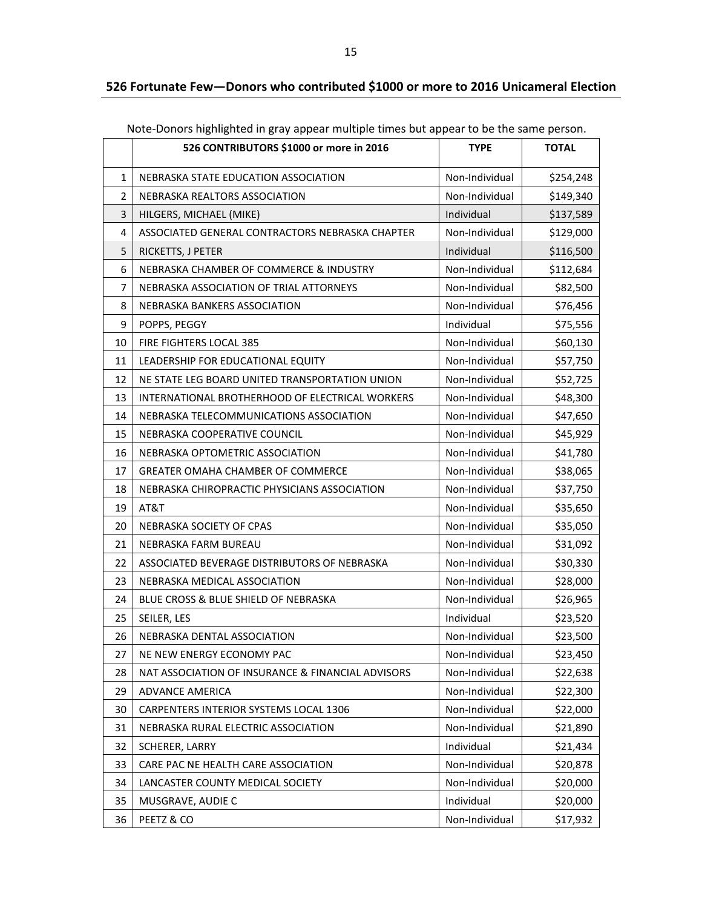### **526 Fortunate Few—Donors who contributed \$1000 or more to 2016 Unicameral Election**

|    | 526 CONTRIBUTORS \$1000 or more in 2016           | <b>TYPE</b>    | <b>TOTAL</b> |
|----|---------------------------------------------------|----------------|--------------|
| 1  | NEBRASKA STATE EDUCATION ASSOCIATION              | Non-Individual | \$254,248    |
| 2  | NEBRASKA REALTORS ASSOCIATION                     | Non-Individual | \$149,340    |
| 3  | HILGERS, MICHAEL (MIKE)                           | Individual     | \$137,589    |
| 4  | ASSOCIATED GENERAL CONTRACTORS NEBRASKA CHAPTER   | Non-Individual | \$129,000    |
| 5  | RICKETTS, J PETER                                 | Individual     | \$116,500    |
| 6  | NEBRASKA CHAMBER OF COMMERCE & INDUSTRY           | Non-Individual | \$112,684    |
| 7  | NEBRASKA ASSOCIATION OF TRIAL ATTORNEYS           | Non-Individual | \$82,500     |
| 8  | NEBRASKA BANKERS ASSOCIATION                      | Non-Individual | \$76,456     |
| 9  | POPPS, PEGGY                                      | Individual     | \$75,556     |
| 10 | FIRE FIGHTERS LOCAL 385                           | Non-Individual | \$60,130     |
| 11 | LEADERSHIP FOR EDUCATIONAL EQUITY                 | Non-Individual | \$57,750     |
| 12 | NE STATE LEG BOARD UNITED TRANSPORTATION UNION    | Non-Individual | \$52,725     |
| 13 | INTERNATIONAL BROTHERHOOD OF ELECTRICAL WORKERS   | Non-Individual | \$48,300     |
| 14 | NEBRASKA TELECOMMUNICATIONS ASSOCIATION           | Non-Individual | \$47,650     |
| 15 | NEBRASKA COOPERATIVE COUNCIL                      | Non-Individual | \$45,929     |
| 16 | NEBRASKA OPTOMETRIC ASSOCIATION                   | Non-Individual | \$41,780     |
| 17 | GREATER OMAHA CHAMBER OF COMMERCE                 | Non-Individual | \$38,065     |
| 18 | NEBRASKA CHIROPRACTIC PHYSICIANS ASSOCIATION      | Non-Individual | \$37,750     |
| 19 | AT&T                                              | Non-Individual | \$35,650     |
| 20 | NEBRASKA SOCIETY OF CPAS                          | Non-Individual | \$35,050     |
| 21 | NEBRASKA FARM BUREAU                              | Non-Individual | \$31,092     |
| 22 | ASSOCIATED BEVERAGE DISTRIBUTORS OF NEBRASKA      | Non-Individual | \$30,330     |
| 23 | NEBRASKA MEDICAL ASSOCIATION                      | Non-Individual | \$28,000     |
| 24 | BLUE CROSS & BLUE SHIELD OF NEBRASKA              | Non-Individual | \$26,965     |
| 25 | SEILER, LES                                       | Individual     | \$23,520     |
| 26 | NEBRASKA DENTAL ASSOCIATION                       | Non-Individual | \$23,500     |
| 27 | NE NEW ENERGY ECONOMY PAC                         | Non-Individual | \$23,450     |
| 28 | NAT ASSOCIATION OF INSURANCE & FINANCIAL ADVISORS | Non-Individual | \$22,638     |
| 29 | <b>ADVANCE AMERICA</b>                            | Non-Individual | \$22,300     |
| 30 | CARPENTERS INTERIOR SYSTEMS LOCAL 1306            | Non-Individual | \$22,000     |
| 31 | NEBRASKA RURAL ELECTRIC ASSOCIATION               | Non-Individual | \$21,890     |
| 32 | SCHERER, LARRY                                    | Individual     | \$21,434     |
| 33 | CARE PAC NE HEALTH CARE ASSOCIATION               | Non-Individual | \$20,878     |
| 34 | LANCASTER COUNTY MEDICAL SOCIETY                  | Non-Individual | \$20,000     |
| 35 | MUSGRAVE, AUDIE C                                 | Individual     | \$20,000     |
| 36 | PEETZ & CO                                        | Non-Individual | \$17,932     |

Note-Donors highlighted in gray appear multiple times but appear to be the same person.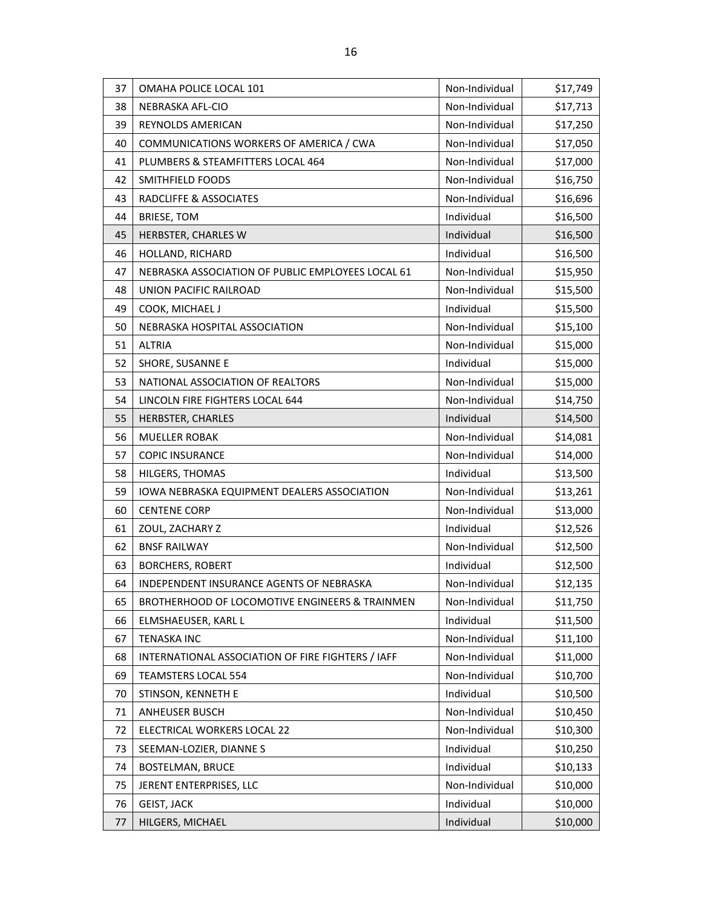| 37 | OMAHA POLICE LOCAL 101                            | Non-Individual | \$17,749 |
|----|---------------------------------------------------|----------------|----------|
| 38 | NEBRASKA AFL-CIO                                  | Non-Individual | \$17,713 |
| 39 | REYNOLDS AMERICAN                                 | Non-Individual | \$17,250 |
| 40 | COMMUNICATIONS WORKERS OF AMERICA / CWA           | Non-Individual | \$17,050 |
| 41 | PLUMBERS & STEAMFITTERS LOCAL 464                 | Non-Individual | \$17,000 |
| 42 | SMITHFIELD FOODS                                  | Non-Individual | \$16,750 |
| 43 | RADCLIFFE & ASSOCIATES                            | Non-Individual | \$16,696 |
| 44 | <b>BRIESE, TOM</b>                                | Individual     | \$16,500 |
| 45 | HERBSTER, CHARLES W                               | Individual     | \$16,500 |
| 46 | HOLLAND, RICHARD                                  | Individual     | \$16,500 |
| 47 | NEBRASKA ASSOCIATION OF PUBLIC EMPLOYEES LOCAL 61 | Non-Individual | \$15,950 |
| 48 | UNION PACIFIC RAILROAD                            | Non-Individual | \$15,500 |
| 49 | COOK, MICHAEL J                                   | Individual     | \$15,500 |
| 50 | NEBRASKA HOSPITAL ASSOCIATION                     | Non-Individual | \$15,100 |
| 51 | <b>ALTRIA</b>                                     | Non-Individual | \$15,000 |
| 52 | SHORE, SUSANNE E                                  | Individual     | \$15,000 |
| 53 | NATIONAL ASSOCIATION OF REALTORS                  | Non-Individual | \$15,000 |
| 54 | LINCOLN FIRE FIGHTERS LOCAL 644                   | Non-Individual | \$14,750 |
| 55 | HERBSTER, CHARLES                                 | Individual     | \$14,500 |
| 56 | <b>MUELLER ROBAK</b>                              | Non-Individual | \$14,081 |
| 57 | <b>COPIC INSURANCE</b>                            | Non-Individual | \$14,000 |
| 58 | HILGERS, THOMAS                                   | Individual     | \$13,500 |
| 59 | IOWA NEBRASKA EQUIPMENT DEALERS ASSOCIATION       | Non-Individual | \$13,261 |
| 60 | <b>CENTENE CORP</b>                               | Non-Individual | \$13,000 |
| 61 | ZOUL, ZACHARY Z                                   | Individual     | \$12,526 |
| 62 | <b>BNSF RAILWAY</b>                               | Non-Individual | \$12,500 |
| 63 | <b>BORCHERS, ROBERT</b>                           | Individual     | \$12,500 |
| 64 | <b>INDEPENDENT INSURANCE AGENTS OF NEBRASKA</b>   | Non-Individual | \$12,135 |
| 65 | BROTHERHOOD OF LOCOMOTIVE ENGINEERS & TRAINMEN    | Non-Individual | \$11,750 |
| 66 | ELMSHAEUSER, KARL L                               | Individual     | \$11,500 |
| 67 | <b>TENASKA INC</b>                                | Non-Individual | \$11,100 |
| 68 | INTERNATIONAL ASSOCIATION OF FIRE FIGHTERS / IAFF | Non-Individual | \$11,000 |
| 69 | <b>TEAMSTERS LOCAL 554</b>                        | Non-Individual | \$10,700 |
| 70 | STINSON, KENNETH E                                | Individual     | \$10,500 |
| 71 | <b>ANHEUSER BUSCH</b>                             | Non-Individual | \$10,450 |
| 72 | ELECTRICAL WORKERS LOCAL 22                       | Non-Individual | \$10,300 |
| 73 | SEEMAN-LOZIER, DIANNE S                           | Individual     | \$10,250 |
| 74 | <b>BOSTELMAN, BRUCE</b>                           | Individual     | \$10,133 |
| 75 | JERENT ENTERPRISES, LLC                           | Non-Individual | \$10,000 |
| 76 | <b>GEIST, JACK</b>                                | Individual     | \$10,000 |
| 77 | HILGERS, MICHAEL                                  | Individual     | \$10,000 |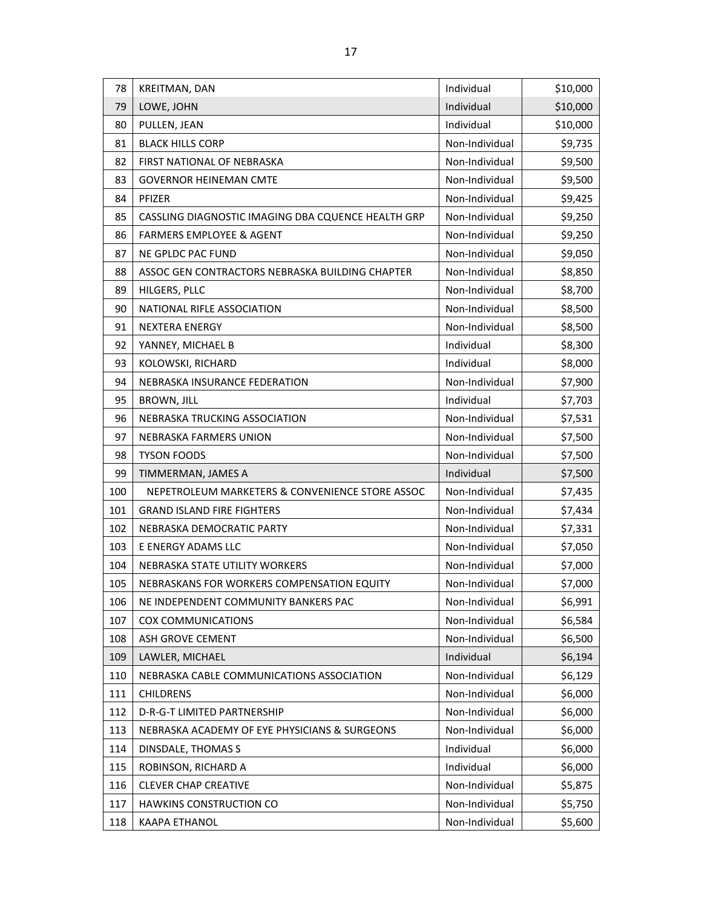| 78  | KREITMAN, DAN                                      | Individual     | \$10,000 |
|-----|----------------------------------------------------|----------------|----------|
| 79  | LOWE, JOHN                                         | Individual     | \$10,000 |
| 80  | PULLEN, JEAN                                       | Individual     | \$10,000 |
| 81  | <b>BLACK HILLS CORP</b>                            | Non-Individual | \$9,735  |
| 82  | FIRST NATIONAL OF NEBRASKA                         | Non-Individual | \$9,500  |
| 83  | <b>GOVERNOR HEINEMAN CMTE</b>                      | Non-Individual | \$9,500  |
| 84  | PFIZER                                             | Non-Individual | \$9,425  |
| 85  | CASSLING DIAGNOSTIC IMAGING DBA CQUENCE HEALTH GRP | Non-Individual | \$9,250  |
| 86  | <b>FARMERS EMPLOYEE &amp; AGENT</b>                | Non-Individual | \$9,250  |
| 87  | NE GPLDC PAC FUND                                  | Non-Individual | \$9,050  |
| 88  | ASSOC GEN CONTRACTORS NEBRASKA BUILDING CHAPTER    | Non-Individual | \$8,850  |
| 89  | HILGERS, PLLC                                      | Non-Individual | \$8,700  |
| 90  | NATIONAL RIFLE ASSOCIATION                         | Non-Individual | \$8,500  |
| 91  | <b>NEXTERA ENERGY</b>                              | Non-Individual | \$8,500  |
| 92  | YANNEY, MICHAEL B                                  | Individual     | \$8,300  |
| 93  | KOLOWSKI, RICHARD                                  | Individual     | \$8,000  |
| 94  | NEBRASKA INSURANCE FEDERATION                      | Non-Individual | \$7,900  |
| 95  | <b>BROWN, JILL</b>                                 | Individual     | \$7,703  |
| 96  | NEBRASKA TRUCKING ASSOCIATION                      | Non-Individual | \$7,531  |
| 97  | NEBRASKA FARMERS UNION                             | Non-Individual | \$7,500  |
| 98  | <b>TYSON FOODS</b>                                 | Non-Individual | \$7,500  |
| 99  | TIMMERMAN, JAMES A                                 | Individual     | \$7,500  |
| 100 | NEPETROLEUM MARKETERS & CONVENIENCE STORE ASSOC    | Non-Individual | \$7,435  |
| 101 | <b>GRAND ISLAND FIRE FIGHTERS</b>                  | Non-Individual | \$7,434  |
| 102 | NEBRASKA DEMOCRATIC PARTY                          | Non-Individual | \$7,331  |
| 103 | E ENERGY ADAMS LLC                                 | Non-Individual | \$7,050  |
| 104 | NEBRASKA STATE UTILITY WORKERS                     | Non-Individual | \$7,000  |
| 105 | NEBRASKANS FOR WORKERS COMPENSATION EQUITY         | Non-Individual | \$7,000  |
| 106 | NE INDEPENDENT COMMUNITY BANKERS PAC               | Non-Individual | \$6,991  |
| 107 | COX COMMUNICATIONS                                 | Non-Individual | \$6,584  |
| 108 | ASH GROVE CEMENT                                   | Non-Individual | \$6,500  |
| 109 | LAWLER, MICHAEL                                    | Individual     | \$6,194  |
| 110 | NEBRASKA CABLE COMMUNICATIONS ASSOCIATION          | Non-Individual | \$6,129  |
| 111 | <b>CHILDRENS</b>                                   | Non-Individual | \$6,000  |
| 112 | D-R-G-T LIMITED PARTNERSHIP                        | Non-Individual | \$6,000  |
| 113 | NEBRASKA ACADEMY OF EYE PHYSICIANS & SURGEONS      | Non-Individual | \$6,000  |
| 114 | DINSDALE, THOMAS S                                 | Individual     | \$6,000  |
| 115 | ROBINSON, RICHARD A                                | Individual     | \$6,000  |
| 116 | <b>CLEVER CHAP CREATIVE</b>                        | Non-Individual | \$5,875  |
| 117 | <b>HAWKINS CONSTRUCTION CO</b>                     | Non-Individual | \$5,750  |
| 118 | KAAPA ETHANOL                                      | Non-Individual | \$5,600  |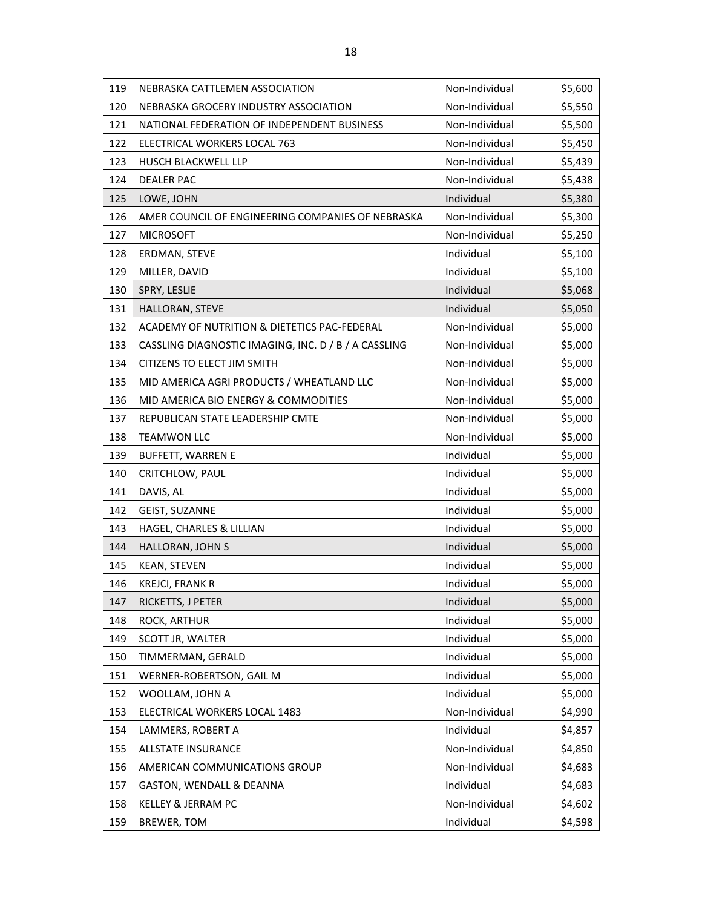| 119 | NEBRASKA CATTLEMEN ASSOCIATION                       | Non-Individual | \$5,600 |
|-----|------------------------------------------------------|----------------|---------|
| 120 | NEBRASKA GROCERY INDUSTRY ASSOCIATION                | Non-Individual | \$5,550 |
| 121 | NATIONAL FEDERATION OF INDEPENDENT BUSINESS          | Non-Individual | \$5,500 |
| 122 | ELECTRICAL WORKERS LOCAL 763                         | Non-Individual | \$5,450 |
| 123 | HUSCH BLACKWELL LLP                                  | Non-Individual | \$5,439 |
| 124 | <b>DEALER PAC</b>                                    | Non-Individual | \$5,438 |
| 125 | LOWE, JOHN                                           | Individual     | \$5,380 |
| 126 | AMER COUNCIL OF ENGINEERING COMPANIES OF NEBRASKA    | Non-Individual | \$5,300 |
| 127 | <b>MICROSOFT</b>                                     | Non-Individual | \$5,250 |
| 128 | ERDMAN, STEVE                                        | Individual     | \$5,100 |
| 129 | MILLER, DAVID                                        | Individual     | \$5,100 |
| 130 | SPRY, LESLIE                                         | Individual     | \$5,068 |
| 131 | HALLORAN, STEVE                                      | Individual     | \$5,050 |
| 132 | ACADEMY OF NUTRITION & DIETETICS PAC-FEDERAL         | Non-Individual | \$5,000 |
| 133 | CASSLING DIAGNOSTIC IMAGING, INC. D / B / A CASSLING | Non-Individual | \$5,000 |
| 134 | CITIZENS TO ELECT JIM SMITH                          | Non-Individual | \$5,000 |
| 135 | MID AMERICA AGRI PRODUCTS / WHEATLAND LLC            | Non-Individual | \$5,000 |
| 136 | MID AMERICA BIO ENERGY & COMMODITIES                 | Non-Individual | \$5,000 |
| 137 | REPUBLICAN STATE LEADERSHIP CMTE                     | Non-Individual | \$5,000 |
| 138 | <b>TEAMWON LLC</b>                                   | Non-Individual | \$5,000 |
| 139 | <b>BUFFETT, WARREN E</b>                             | Individual     | \$5,000 |
| 140 | CRITCHLOW, PAUL                                      | Individual     | \$5,000 |
| 141 | DAVIS, AL                                            | Individual     | \$5,000 |
| 142 | GEIST, SUZANNE                                       | Individual     | \$5,000 |
| 143 | HAGEL, CHARLES & LILLIAN                             | Individual     | \$5,000 |
| 144 | HALLORAN, JOHN S                                     | Individual     | \$5,000 |
| 145 | <b>KEAN, STEVEN</b>                                  | Individual     | \$5,000 |
| 146 | <b>KREJCI, FRANK R</b>                               | Individual     | \$5,000 |
| 147 | RICKETTS, J PETER                                    | Individual     | \$5,000 |
| 148 | ROCK, ARTHUR                                         | Individual     | \$5,000 |
| 149 | SCOTT JR, WALTER                                     | Individual     | \$5,000 |
| 150 | TIMMERMAN, GERALD                                    | Individual     | \$5,000 |
| 151 | WERNER-ROBERTSON, GAIL M                             | Individual     | \$5,000 |
| 152 | WOOLLAM, JOHN A                                      | Individual     | \$5,000 |
| 153 | ELECTRICAL WORKERS LOCAL 1483                        | Non-Individual | \$4,990 |
| 154 | LAMMERS, ROBERT A                                    | Individual     | \$4,857 |
| 155 | ALLSTATE INSURANCE                                   | Non-Individual | \$4,850 |
| 156 | AMERICAN COMMUNICATIONS GROUP                        | Non-Individual | \$4,683 |
| 157 | GASTON, WENDALL & DEANNA                             | Individual     | \$4,683 |
| 158 | KELLEY & JERRAM PC                                   | Non-Individual | \$4,602 |
| 159 | BREWER, TOM                                          | Individual     | \$4,598 |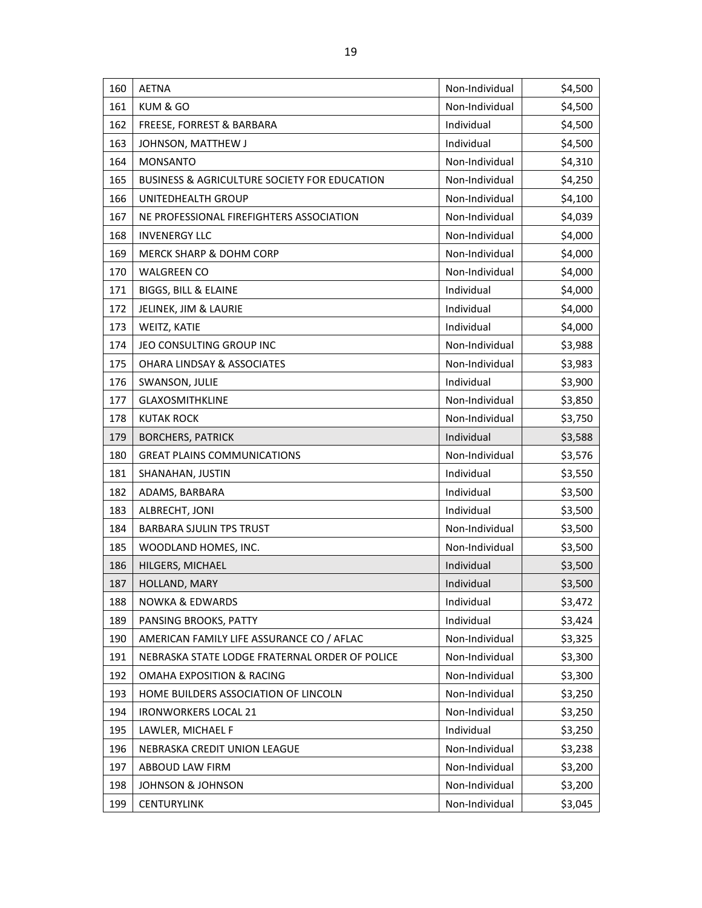| 160 | <b>AETNA</b>                                            | Non-Individual | \$4,500 |
|-----|---------------------------------------------------------|----------------|---------|
| 161 | KUM & GO                                                | Non-Individual | \$4,500 |
| 162 | FREESE, FORREST & BARBARA                               | Individual     | \$4,500 |
| 163 | JOHNSON, MATTHEW J                                      | Individual     | \$4,500 |
| 164 | <b>MONSANTO</b>                                         | Non-Individual | \$4,310 |
| 165 | <b>BUSINESS &amp; AGRICULTURE SOCIETY FOR EDUCATION</b> | Non-Individual | \$4,250 |
| 166 | UNITEDHEALTH GROUP                                      | Non-Individual | \$4,100 |
| 167 | NE PROFESSIONAL FIREFIGHTERS ASSOCIATION                | Non-Individual | \$4,039 |
| 168 | <b>INVENERGY LLC</b>                                    | Non-Individual | \$4,000 |
| 169 | MERCK SHARP & DOHM CORP                                 | Non-Individual | \$4,000 |
| 170 | <b>WALGREEN CO</b>                                      | Non-Individual | \$4,000 |
| 171 | BIGGS, BILL & ELAINE                                    | Individual     | \$4,000 |
| 172 | JELINEK, JIM & LAURIE                                   | Individual     | \$4,000 |
| 173 | WEITZ, KATIE                                            | Individual     | \$4,000 |
| 174 | JEO CONSULTING GROUP INC                                | Non-Individual | \$3,988 |
| 175 | <b>OHARA LINDSAY &amp; ASSOCIATES</b>                   | Non-Individual | \$3,983 |
| 176 | SWANSON, JULIE                                          | Individual     | \$3,900 |
| 177 | <b>GLAXOSMITHKLINE</b>                                  | Non-Individual | \$3,850 |
| 178 | <b>KUTAK ROCK</b>                                       | Non-Individual | \$3,750 |
| 179 | <b>BORCHERS, PATRICK</b>                                | Individual     | \$3,588 |
| 180 | <b>GREAT PLAINS COMMUNICATIONS</b>                      | Non-Individual | \$3,576 |
| 181 | SHANAHAN, JUSTIN                                        | Individual     | \$3,550 |
| 182 | ADAMS, BARBARA                                          | Individual     | \$3,500 |
| 183 | ALBRECHT, JONI                                          | Individual     | \$3,500 |
| 184 | <b>BARBARA SJULIN TPS TRUST</b>                         | Non-Individual | \$3,500 |
| 185 | WOODLAND HOMES, INC.                                    | Non-Individual | \$3,500 |
| 186 | HILGERS, MICHAEL                                        | Individual     | \$3,500 |
| 187 | HOLLAND, MARY                                           | Individual     | \$3,500 |
| 188 | <b>NOWKA &amp; EDWARDS</b>                              | Individual     | \$3,472 |
| 189 | PANSING BROOKS, PATTY                                   | Individual     | \$3,424 |
| 190 | AMERICAN FAMILY LIFE ASSURANCE CO / AFLAC               | Non-Individual | \$3,325 |
| 191 | NEBRASKA STATE LODGE FRATERNAL ORDER OF POLICE          | Non-Individual | \$3,300 |
| 192 | <b>OMAHA EXPOSITION &amp; RACING</b>                    | Non-Individual | \$3,300 |
| 193 | HOME BUILDERS ASSOCIATION OF LINCOLN                    | Non-Individual | \$3,250 |
| 194 | <b>IRONWORKERS LOCAL 21</b>                             | Non-Individual | \$3,250 |
| 195 | LAWLER, MICHAEL F                                       | Individual     | \$3,250 |
| 196 | NEBRASKA CREDIT UNION LEAGUE                            | Non-Individual | \$3,238 |
| 197 | ABBOUD LAW FIRM                                         | Non-Individual | \$3,200 |
| 198 | <b>JOHNSON &amp; JOHNSON</b>                            | Non-Individual | \$3,200 |
| 199 | <b>CENTURYLINK</b>                                      | Non-Individual | \$3,045 |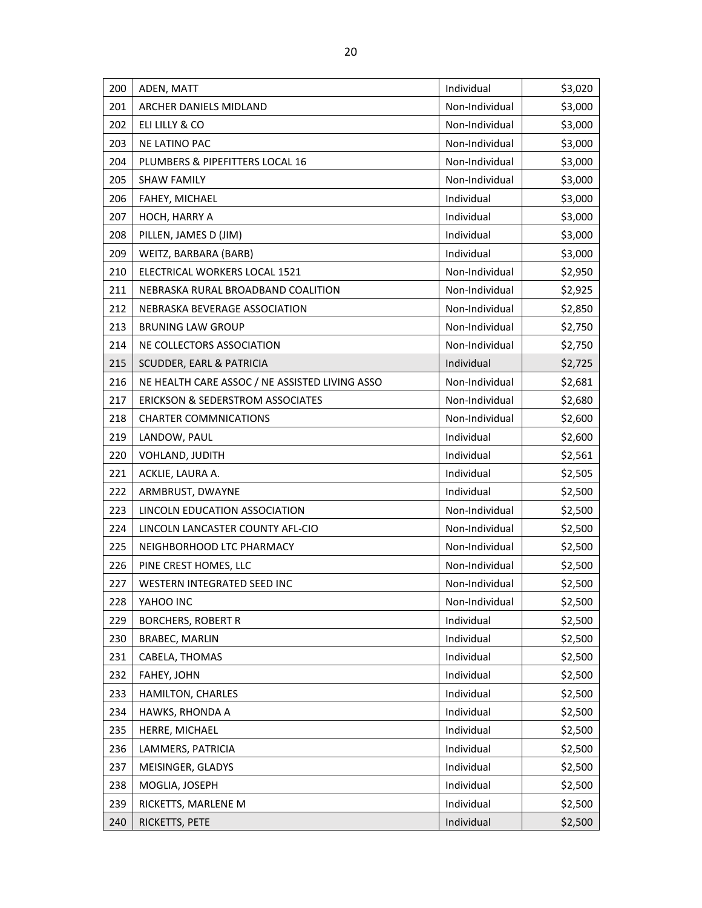| 200 | ADEN, MATT                                     | Individual     | \$3,020 |
|-----|------------------------------------------------|----------------|---------|
| 201 | ARCHER DANIELS MIDLAND                         | Non-Individual | \$3,000 |
| 202 | ELI LILLY & CO                                 | Non-Individual | \$3,000 |
| 203 | <b>NE LATINO PAC</b>                           | Non-Individual | \$3,000 |
| 204 | PLUMBERS & PIPEFITTERS LOCAL 16                | Non-Individual | \$3,000 |
| 205 | <b>SHAW FAMILY</b>                             | Non-Individual | \$3,000 |
| 206 | FAHEY, MICHAEL                                 | Individual     | \$3,000 |
| 207 | HOCH, HARRY A                                  | Individual     | \$3,000 |
| 208 | PILLEN, JAMES D (JIM)                          | Individual     | \$3,000 |
| 209 | WEITZ, BARBARA (BARB)                          | Individual     | \$3,000 |
| 210 | ELECTRICAL WORKERS LOCAL 1521                  | Non-Individual | \$2,950 |
| 211 | NEBRASKA RURAL BROADBAND COALITION             | Non-Individual | \$2,925 |
| 212 | NEBRASKA BEVERAGE ASSOCIATION                  | Non-Individual | \$2,850 |
| 213 | <b>BRUNING LAW GROUP</b>                       | Non-Individual | \$2,750 |
| 214 | NE COLLECTORS ASSOCIATION                      | Non-Individual | \$2,750 |
| 215 | SCUDDER, EARL & PATRICIA                       | Individual     | \$2,725 |
| 216 | NE HEALTH CARE ASSOC / NE ASSISTED LIVING ASSO | Non-Individual | \$2,681 |
| 217 | <b>ERICKSON &amp; SEDERSTROM ASSOCIATES</b>    | Non-Individual | \$2,680 |
| 218 | <b>CHARTER COMMNICATIONS</b>                   | Non-Individual | \$2,600 |
| 219 | LANDOW, PAUL                                   | Individual     | \$2,600 |
| 220 | VOHLAND, JUDITH                                | Individual     | \$2,561 |
| 221 | ACKLIE, LAURA A.                               | Individual     | \$2,505 |
| 222 | ARMBRUST, DWAYNE                               | Individual     | \$2,500 |
| 223 | LINCOLN EDUCATION ASSOCIATION                  | Non-Individual | \$2,500 |
| 224 | LINCOLN LANCASTER COUNTY AFL-CIO               | Non-Individual | \$2,500 |
| 225 | NEIGHBORHOOD LTC PHARMACY                      | Non-Individual | \$2,500 |
| 226 | PINE CREST HOMES, LLC                          | Non-Individual | \$2,500 |
| 227 | WESTERN INTEGRATED SEED INC                    | Non-Individual | \$2,500 |
| 228 | YAHOO INC                                      | Non-Individual | \$2,500 |
| 229 | <b>BORCHERS, ROBERT R</b>                      | Individual     | \$2,500 |
| 230 | <b>BRABEC, MARLIN</b>                          | Individual     | \$2,500 |
| 231 | CABELA, THOMAS                                 | Individual     | \$2,500 |
| 232 | FAHEY, JOHN                                    | Individual     | \$2,500 |
| 233 | HAMILTON, CHARLES                              | Individual     | \$2,500 |
| 234 | HAWKS, RHONDA A                                | Individual     | \$2,500 |
| 235 | HERRE, MICHAEL                                 | Individual     | \$2,500 |
| 236 | LAMMERS, PATRICIA                              | Individual     | \$2,500 |
| 237 | MEISINGER, GLADYS                              | Individual     | \$2,500 |
| 238 | MOGLIA, JOSEPH                                 | Individual     | \$2,500 |
| 239 | RICKETTS, MARLENE M                            | Individual     | \$2,500 |
| 240 | RICKETTS, PETE                                 | Individual     | \$2,500 |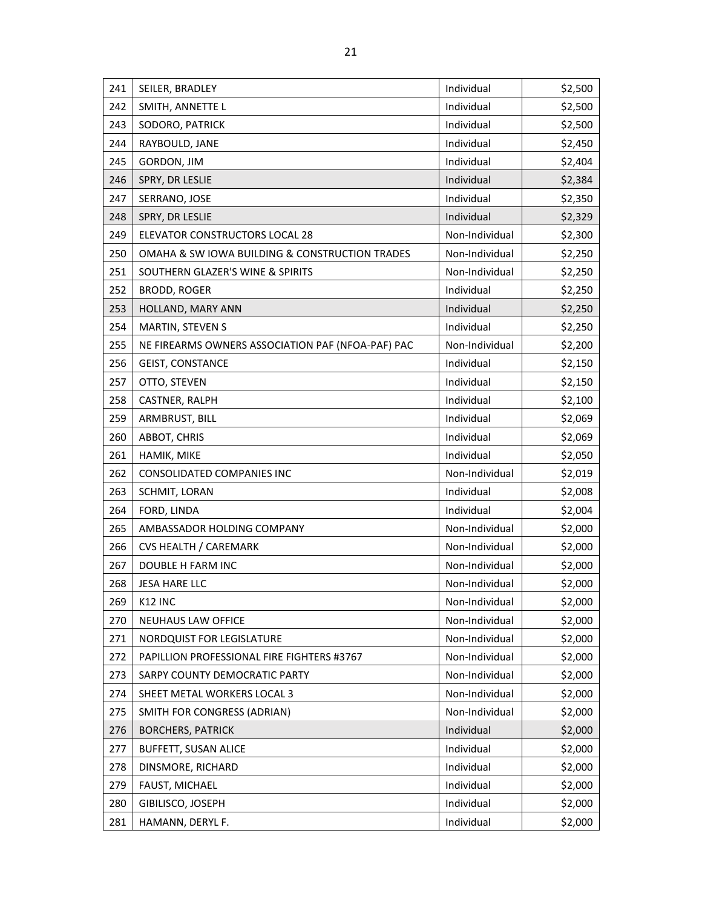| 241 | SEILER, BRADLEY                                   | Individual     | \$2,500 |
|-----|---------------------------------------------------|----------------|---------|
| 242 | SMITH, ANNETTE L                                  | Individual     | \$2,500 |
| 243 | SODORO, PATRICK                                   | Individual     | \$2,500 |
| 244 | RAYBOULD, JANE                                    | Individual     | \$2,450 |
| 245 | GORDON, JIM                                       | Individual     | \$2,404 |
| 246 | SPRY, DR LESLIE                                   | Individual     | \$2,384 |
| 247 | SERRANO, JOSE                                     | Individual     | \$2,350 |
| 248 | SPRY, DR LESLIE                                   | Individual     | \$2,329 |
| 249 | ELEVATOR CONSTRUCTORS LOCAL 28                    | Non-Individual | \$2,300 |
| 250 | OMAHA & SW IOWA BUILDING & CONSTRUCTION TRADES    | Non-Individual | \$2,250 |
| 251 | SOUTHERN GLAZER'S WINE & SPIRITS                  | Non-Individual | \$2,250 |
| 252 | <b>BRODD, ROGER</b>                               | Individual     | \$2,250 |
| 253 | HOLLAND, MARY ANN                                 | Individual     | \$2,250 |
| 254 | MARTIN, STEVEN S                                  | Individual     | \$2,250 |
| 255 | NE FIREARMS OWNERS ASSOCIATION PAF (NFOA-PAF) PAC | Non-Individual | \$2,200 |
| 256 | <b>GEIST, CONSTANCE</b>                           | Individual     | \$2,150 |
| 257 | OTTO, STEVEN                                      | Individual     | \$2,150 |
| 258 | CASTNER, RALPH                                    | Individual     | \$2,100 |
| 259 | ARMBRUST, BILL                                    | Individual     | \$2,069 |
| 260 | ABBOT, CHRIS                                      | Individual     | \$2,069 |
| 261 | HAMIK, MIKE                                       | Individual     | \$2,050 |
| 262 | CONSOLIDATED COMPANIES INC                        | Non-Individual | \$2,019 |
| 263 | SCHMIT, LORAN                                     | Individual     | \$2,008 |
| 264 | FORD, LINDA                                       | Individual     | \$2,004 |
| 265 | AMBASSADOR HOLDING COMPANY                        | Non-Individual | \$2,000 |
| 266 | CVS HEALTH / CAREMARK                             | Non-Individual | \$2,000 |
| 267 | DOUBLE H FARM INC                                 | Non-Individual | \$2,000 |
| 268 | <b>JESA HARE LLC</b>                              | Non-Individual | \$2,000 |
| 269 | K12 INC                                           | Non-Individual | \$2,000 |
| 270 | NEUHAUS LAW OFFICE                                | Non-Individual | \$2,000 |
| 271 | <b>NORDQUIST FOR LEGISLATURE</b>                  | Non-Individual | \$2,000 |
| 272 | PAPILLION PROFESSIONAL FIRE FIGHTERS #3767        | Non-Individual | \$2,000 |
| 273 | SARPY COUNTY DEMOCRATIC PARTY                     | Non-Individual | \$2,000 |
| 274 | SHEET METAL WORKERS LOCAL 3                       | Non-Individual | \$2,000 |
| 275 | SMITH FOR CONGRESS (ADRIAN)                       | Non-Individual | \$2,000 |
| 276 | <b>BORCHERS, PATRICK</b>                          | Individual     | \$2,000 |
| 277 | <b>BUFFETT, SUSAN ALICE</b>                       | Individual     | \$2,000 |
| 278 | DINSMORE, RICHARD                                 | Individual     | \$2,000 |
| 279 | FAUST, MICHAEL                                    | Individual     | \$2,000 |
| 280 | GIBILISCO, JOSEPH                                 | Individual     | \$2,000 |
| 281 | HAMANN, DERYL F.                                  | Individual     | \$2,000 |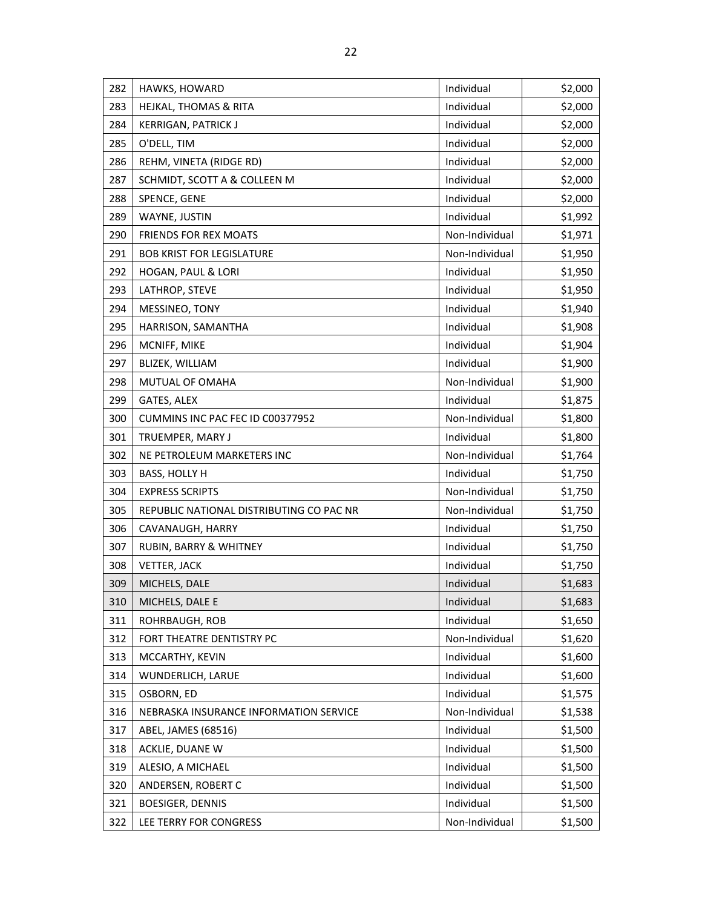| 282 | HAWKS, HOWARD                            | Individual     | \$2,000 |
|-----|------------------------------------------|----------------|---------|
| 283 | <b>HEJKAL, THOMAS &amp; RITA</b>         | Individual     | \$2,000 |
| 284 | <b>KERRIGAN, PATRICK J</b>               | Individual     | \$2,000 |
| 285 | O'DELL, TIM                              | Individual     | \$2,000 |
| 286 | REHM, VINETA (RIDGE RD)                  | Individual     | \$2,000 |
| 287 | SCHMIDT, SCOTT A & COLLEEN M             | Individual     | \$2,000 |
| 288 | SPENCE, GENE                             | Individual     | \$2,000 |
| 289 | WAYNE, JUSTIN                            | Individual     | \$1,992 |
| 290 | <b>FRIENDS FOR REX MOATS</b>             | Non-Individual | \$1,971 |
| 291 | <b>BOB KRIST FOR LEGISLATURE</b>         | Non-Individual | \$1,950 |
| 292 | HOGAN, PAUL & LORI                       | Individual     | \$1,950 |
| 293 | LATHROP, STEVE                           | Individual     | \$1,950 |
| 294 | MESSINEO, TONY                           | Individual     | \$1,940 |
| 295 | HARRISON, SAMANTHA                       | Individual     | \$1,908 |
| 296 | MCNIFF, MIKE                             | Individual     | \$1,904 |
| 297 | BLIZEK, WILLIAM                          | Individual     | \$1,900 |
| 298 | MUTUAL OF OMAHA                          | Non-Individual | \$1,900 |
| 299 | GATES, ALEX                              | Individual     | \$1,875 |
| 300 | CUMMINS INC PAC FEC ID C00377952         | Non-Individual | \$1,800 |
| 301 | TRUEMPER, MARY J                         | Individual     | \$1,800 |
| 302 | NE PETROLEUM MARKETERS INC               | Non-Individual | \$1,764 |
| 303 | <b>BASS, HOLLY H</b>                     | Individual     | \$1,750 |
| 304 | <b>EXPRESS SCRIPTS</b>                   | Non-Individual | \$1,750 |
| 305 | REPUBLIC NATIONAL DISTRIBUTING CO PAC NR | Non-Individual | \$1,750 |
| 306 | CAVANAUGH, HARRY                         | Individual     | \$1,750 |
| 307 | RUBIN, BARRY & WHITNEY                   | Individual     | \$1,750 |
| 308 | VETTER, JACK                             | Individual     | \$1,750 |
| 309 | MICHELS, DALE                            | Individual     | \$1,683 |
| 310 | MICHELS, DALE E                          | Individual     | \$1,683 |
| 311 | ROHRBAUGH, ROB                           | Individual     | \$1,650 |
| 312 | FORT THEATRE DENTISTRY PC                | Non-Individual | \$1,620 |
| 313 | MCCARTHY, KEVIN                          | Individual     | \$1,600 |
| 314 | WUNDERLICH, LARUE                        | Individual     | \$1,600 |
| 315 | OSBORN, ED                               | Individual     | \$1,575 |
| 316 | NEBRASKA INSURANCE INFORMATION SERVICE   | Non-Individual | \$1,538 |
| 317 | ABEL, JAMES (68516)                      | Individual     | \$1,500 |
| 318 | ACKLIE, DUANE W                          | Individual     | \$1,500 |
| 319 | ALESIO, A MICHAEL                        | Individual     | \$1,500 |
| 320 | ANDERSEN, ROBERT C                       | Individual     | \$1,500 |
| 321 | <b>BOESIGER, DENNIS</b>                  | Individual     | \$1,500 |
| 322 | LEE TERRY FOR CONGRESS                   | Non-Individual | \$1,500 |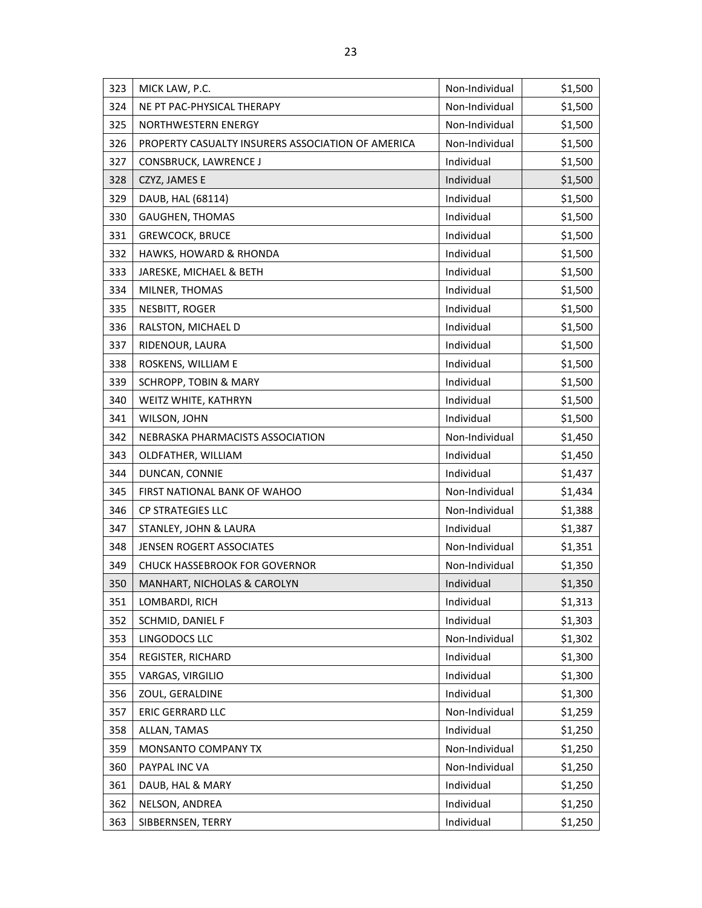| 323 | MICK LAW, P.C.                                    | Non-Individual | \$1,500 |
|-----|---------------------------------------------------|----------------|---------|
| 324 | NE PT PAC-PHYSICAL THERAPY                        | Non-Individual | \$1,500 |
| 325 | NORTHWESTERN ENERGY                               | Non-Individual | \$1,500 |
| 326 | PROPERTY CASUALTY INSURERS ASSOCIATION OF AMERICA | Non-Individual | \$1,500 |
| 327 | CONSBRUCK, LAWRENCE J                             | Individual     | \$1,500 |
| 328 | CZYZ, JAMES E                                     | Individual     | \$1,500 |
| 329 | DAUB, HAL (68114)                                 | Individual     | \$1,500 |
| 330 | GAUGHEN, THOMAS                                   | Individual     | \$1,500 |
| 331 | <b>GREWCOCK, BRUCE</b>                            | Individual     | \$1,500 |
| 332 | HAWKS, HOWARD & RHONDA                            | Individual     | \$1,500 |
| 333 | JARESKE, MICHAEL & BETH                           | Individual     | \$1,500 |
| 334 | MILNER, THOMAS                                    | Individual     | \$1,500 |
| 335 | NESBITT, ROGER                                    | Individual     | \$1,500 |
| 336 | RALSTON, MICHAEL D                                | Individual     | \$1,500 |
| 337 | RIDENOUR, LAURA                                   | Individual     | \$1,500 |
| 338 | ROSKENS, WILLIAM E                                | Individual     | \$1,500 |
| 339 | <b>SCHROPP, TOBIN &amp; MARY</b>                  | Individual     | \$1,500 |
| 340 | WEITZ WHITE, KATHRYN                              | Individual     | \$1,500 |
| 341 | WILSON, JOHN                                      | Individual     | \$1,500 |
| 342 | NEBRASKA PHARMACISTS ASSOCIATION                  | Non-Individual | \$1,450 |
| 343 | OLDFATHER, WILLIAM                                | Individual     | \$1,450 |
| 344 | DUNCAN, CONNIE                                    | Individual     | \$1,437 |
| 345 | FIRST NATIONAL BANK OF WAHOO                      | Non-Individual | \$1,434 |
| 346 | CP STRATEGIES LLC                                 | Non-Individual | \$1,388 |
| 347 | STANLEY, JOHN & LAURA                             | Individual     | \$1,387 |
| 348 | JENSEN ROGERT ASSOCIATES                          | Non-Individual | \$1,351 |
| 349 | <b>CHUCK HASSEBROOK FOR GOVERNOR</b>              | Non-Individual | \$1,350 |
| 350 | <b>MANHART, NICHOLAS &amp; CAROLYN</b>            | Individual     | \$1,350 |
| 351 | LOMBARDI, RICH                                    | Individual     | \$1,313 |
| 352 | SCHMID, DANIEL F                                  | Individual     | \$1,303 |
| 353 | LINGODOCS LLC                                     | Non-Individual | \$1,302 |
| 354 | REGISTER, RICHARD                                 | Individual     | \$1,300 |
| 355 | VARGAS, VIRGILIO                                  | Individual     | \$1,300 |
| 356 | ZOUL, GERALDINE                                   | Individual     | \$1,300 |
| 357 | <b>ERIC GERRARD LLC</b>                           | Non-Individual | \$1,259 |
| 358 | ALLAN, TAMAS                                      | Individual     | \$1,250 |
| 359 | MONSANTO COMPANY TX                               | Non-Individual | \$1,250 |
| 360 | PAYPAL INC VA                                     | Non-Individual | \$1,250 |
| 361 | DAUB, HAL & MARY                                  | Individual     | \$1,250 |
| 362 | NELSON, ANDREA                                    | Individual     | \$1,250 |
| 363 | SIBBERNSEN, TERRY                                 | Individual     | \$1,250 |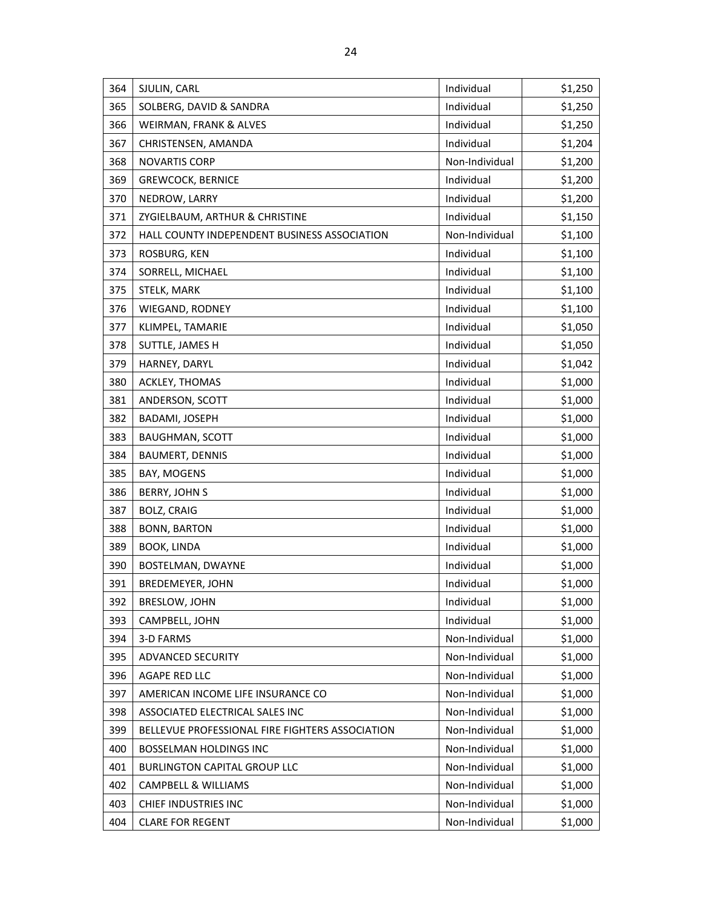| 364 | SJULIN, CARL                                    | Individual     | \$1,250 |
|-----|-------------------------------------------------|----------------|---------|
| 365 | SOLBERG, DAVID & SANDRA                         | Individual     | \$1,250 |
| 366 | WEIRMAN, FRANK & ALVES                          | Individual     | \$1,250 |
| 367 | CHRISTENSEN, AMANDA                             | Individual     | \$1,204 |
| 368 | <b>NOVARTIS CORP</b>                            | Non-Individual | \$1,200 |
| 369 | <b>GREWCOCK, BERNICE</b>                        | Individual     | \$1,200 |
| 370 | NEDROW, LARRY                                   | Individual     | \$1,200 |
| 371 | ZYGIELBAUM, ARTHUR & CHRISTINE                  | Individual     | \$1,150 |
| 372 | HALL COUNTY INDEPENDENT BUSINESS ASSOCIATION    | Non-Individual | \$1,100 |
| 373 | ROSBURG, KEN                                    | Individual     | \$1,100 |
| 374 | SORRELL, MICHAEL                                | Individual     | \$1,100 |
| 375 | STELK, MARK                                     | Individual     | \$1,100 |
| 376 | WIEGAND, RODNEY                                 | Individual     | \$1,100 |
| 377 | KLIMPEL, TAMARIE                                | Individual     | \$1,050 |
| 378 | SUTTLE, JAMES H                                 | Individual     | \$1,050 |
| 379 | HARNEY, DARYL                                   | Individual     | \$1,042 |
| 380 | ACKLEY, THOMAS                                  | Individual     | \$1,000 |
| 381 | ANDERSON, SCOTT                                 | Individual     | \$1,000 |
| 382 | BADAMI, JOSEPH                                  | Individual     | \$1,000 |
| 383 | <b>BAUGHMAN, SCOTT</b>                          | Individual     | \$1,000 |
| 384 | <b>BAUMERT, DENNIS</b>                          | Individual     | \$1,000 |
| 385 | BAY, MOGENS                                     | Individual     | \$1,000 |
| 386 | <b>BERRY, JOHN S</b>                            | Individual     | \$1,000 |
| 387 | <b>BOLZ, CRAIG</b>                              | Individual     | \$1,000 |
| 388 | <b>BONN, BARTON</b>                             | Individual     | \$1,000 |
| 389 | BOOK, LINDA                                     | Individual     | \$1,000 |
| 390 | BOSTELMAN, DWAYNE                               | Individual     | \$1,000 |
| 391 | <b>BREDEMEYER, JOHN</b>                         | Individual     | \$1,000 |
| 392 | <b>BRESLOW, JOHN</b>                            | Individual     | \$1,000 |
| 393 | CAMPBELL, JOHN                                  | Individual     | \$1,000 |
| 394 | 3-D FARMS                                       | Non-Individual | \$1,000 |
| 395 | <b>ADVANCED SECURITY</b>                        | Non-Individual | \$1,000 |
| 396 | AGAPE RED LLC                                   | Non-Individual | \$1,000 |
| 397 | AMERICAN INCOME LIFE INSURANCE CO               | Non-Individual | \$1,000 |
| 398 | ASSOCIATED ELECTRICAL SALES INC                 | Non-Individual | \$1,000 |
| 399 | BELLEVUE PROFESSIONAL FIRE FIGHTERS ASSOCIATION | Non-Individual | \$1,000 |
| 400 | <b>BOSSELMAN HOLDINGS INC</b>                   | Non-Individual | \$1,000 |
| 401 | <b>BURLINGTON CAPITAL GROUP LLC</b>             | Non-Individual | \$1,000 |
| 402 | CAMPBELL & WILLIAMS                             | Non-Individual | \$1,000 |
| 403 | CHIEF INDUSTRIES INC                            | Non-Individual | \$1,000 |
| 404 | <b>CLARE FOR REGENT</b>                         | Non-Individual | \$1,000 |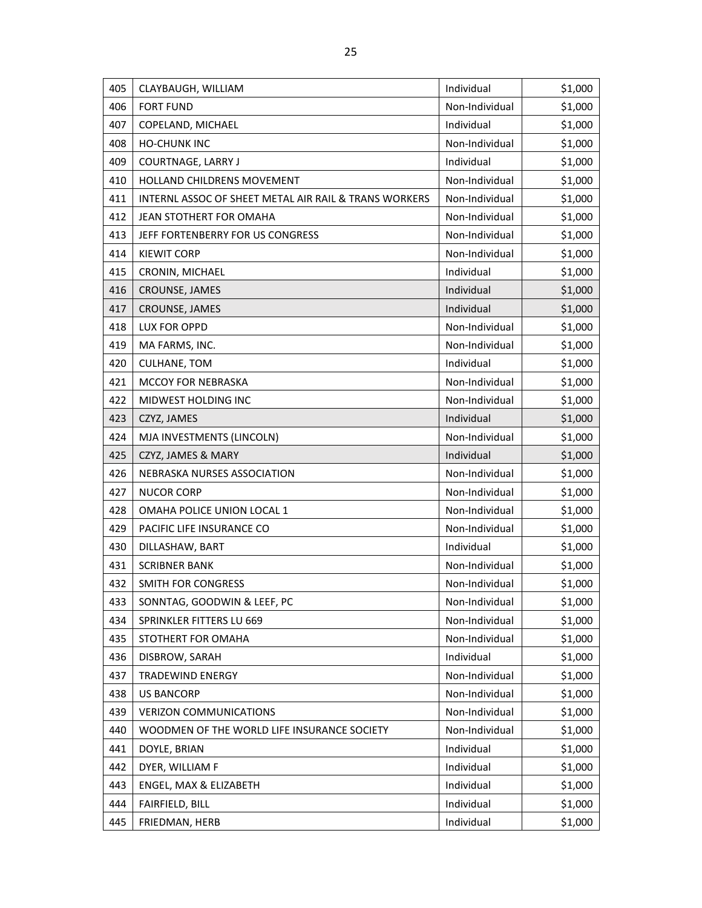| 405 | CLAYBAUGH, WILLIAM                                    | Individual     | \$1,000 |
|-----|-------------------------------------------------------|----------------|---------|
| 406 | <b>FORT FUND</b>                                      | Non-Individual | \$1,000 |
| 407 | COPELAND, MICHAEL                                     | Individual     | \$1,000 |
| 408 | <b>HO-CHUNK INC</b>                                   | Non-Individual | \$1,000 |
| 409 | COURTNAGE, LARRY J                                    | Individual     | \$1,000 |
| 410 | HOLLAND CHILDRENS MOVEMENT                            | Non-Individual | \$1,000 |
| 411 | INTERNL ASSOC OF SHEET METAL AIR RAIL & TRANS WORKERS | Non-Individual | \$1,000 |
| 412 | JEAN STOTHERT FOR OMAHA                               | Non-Individual | \$1,000 |
| 413 | JEFF FORTENBERRY FOR US CONGRESS                      | Non-Individual | \$1,000 |
| 414 | <b>KIEWIT CORP</b>                                    | Non-Individual | \$1,000 |
| 415 | CRONIN, MICHAEL                                       | Individual     | \$1,000 |
| 416 | CROUNSE, JAMES                                        | Individual     | \$1,000 |
| 417 | CROUNSE, JAMES                                        | Individual     | \$1,000 |
| 418 | LUX FOR OPPD                                          | Non-Individual | \$1,000 |
| 419 | MA FARMS, INC.                                        | Non-Individual | \$1,000 |
| 420 | <b>CULHANE, TOM</b>                                   | Individual     | \$1,000 |
| 421 | <b>MCCOY FOR NEBRASKA</b>                             | Non-Individual | \$1,000 |
| 422 | MIDWEST HOLDING INC                                   | Non-Individual | \$1,000 |
| 423 | CZYZ, JAMES                                           | Individual     | \$1,000 |
| 424 | MJA INVESTMENTS (LINCOLN)                             | Non-Individual | \$1,000 |
| 425 | CZYZ, JAMES & MARY                                    | Individual     | \$1,000 |
| 426 | NEBRASKA NURSES ASSOCIATION                           | Non-Individual | \$1,000 |
| 427 | <b>NUCOR CORP</b>                                     | Non-Individual | \$1,000 |
| 428 | OMAHA POLICE UNION LOCAL 1                            | Non-Individual | \$1,000 |
| 429 | PACIFIC LIFE INSURANCE CO                             | Non-Individual | \$1,000 |
| 430 | DILLASHAW, BART                                       | Individual     | \$1,000 |
| 431 | <b>SCRIBNER BANK</b>                                  | Non-Individual | \$1,000 |
| 432 | SMITH FOR CONGRESS                                    | Non-Individual | \$1,000 |
| 433 | SONNTAG, GOODWIN & LEEF, PC                           | Non-Individual | \$1,000 |
| 434 | SPRINKLER FITTERS LU 669                              | Non-Individual | \$1,000 |
| 435 | STOTHERT FOR OMAHA                                    | Non-Individual | \$1,000 |
| 436 | DISBROW, SARAH                                        | Individual     | \$1,000 |
| 437 | TRADEWIND ENERGY                                      | Non-Individual | \$1,000 |
| 438 | <b>US BANCORP</b>                                     | Non-Individual | \$1,000 |
| 439 | <b>VERIZON COMMUNICATIONS</b>                         | Non-Individual | \$1,000 |
| 440 | WOODMEN OF THE WORLD LIFE INSURANCE SOCIETY           | Non-Individual | \$1,000 |
| 441 | DOYLE, BRIAN                                          | Individual     | \$1,000 |
| 442 | DYER, WILLIAM F                                       | Individual     | \$1,000 |
| 443 | ENGEL, MAX & ELIZABETH                                | Individual     | \$1,000 |
| 444 | FAIRFIELD, BILL                                       | Individual     | \$1,000 |
| 445 | FRIEDMAN, HERB                                        | Individual     | \$1,000 |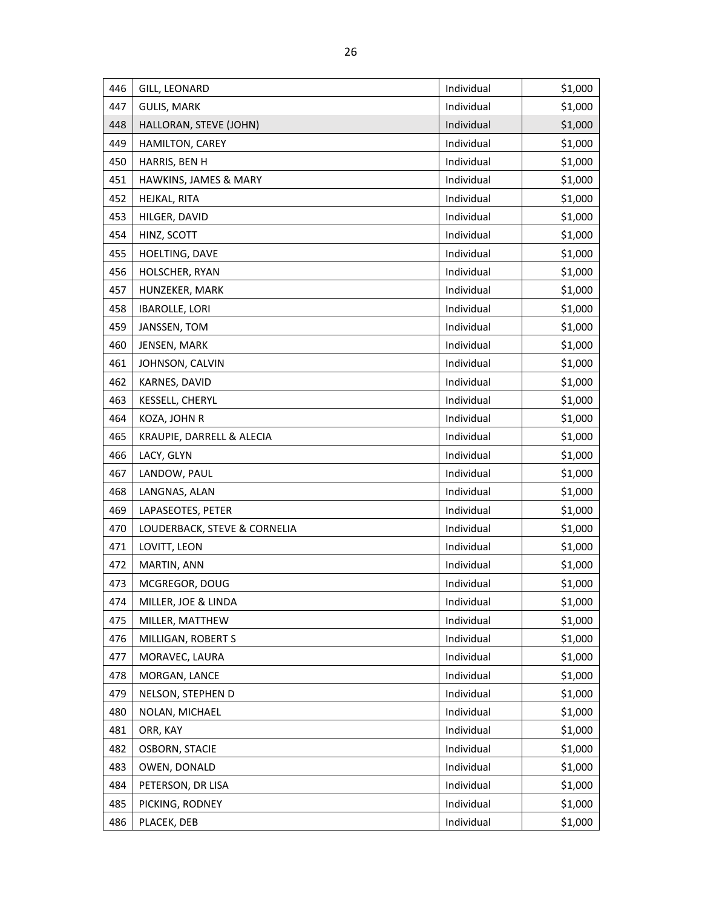| 446 | GILL, LEONARD                | Individual | \$1,000 |
|-----|------------------------------|------------|---------|
| 447 | <b>GULIS, MARK</b>           | Individual | \$1,000 |
| 448 | HALLORAN, STEVE (JOHN)       | Individual | \$1,000 |
| 449 | HAMILTON, CAREY              | Individual | \$1,000 |
| 450 | HARRIS, BEN H                | Individual | \$1,000 |
| 451 | HAWKINS, JAMES & MARY        | Individual | \$1,000 |
| 452 | HEJKAL, RITA                 | Individual | \$1,000 |
| 453 | HILGER, DAVID                | Individual | \$1,000 |
| 454 | HINZ, SCOTT                  | Individual | \$1,000 |
| 455 | HOELTING, DAVE               | Individual | \$1,000 |
| 456 | HOLSCHER, RYAN               | Individual | \$1,000 |
| 457 | HUNZEKER, MARK               | Individual | \$1,000 |
| 458 | <b>IBAROLLE, LORI</b>        | Individual | \$1,000 |
| 459 | JANSSEN, TOM                 | Individual | \$1,000 |
| 460 | JENSEN, MARK                 | Individual | \$1,000 |
| 461 | JOHNSON, CALVIN              | Individual | \$1,000 |
| 462 | KARNES, DAVID                | Individual | \$1,000 |
| 463 | KESSELL, CHERYL              | Individual | \$1,000 |
| 464 | KOZA, JOHN R                 | Individual | \$1,000 |
| 465 | KRAUPIE, DARRELL & ALECIA    | Individual | \$1,000 |
| 466 | LACY, GLYN                   | Individual | \$1,000 |
| 467 | LANDOW, PAUL                 | Individual | \$1,000 |
| 468 | LANGNAS, ALAN                | Individual | \$1,000 |
| 469 | LAPASEOTES, PETER            | Individual | \$1,000 |
| 470 | LOUDERBACK, STEVE & CORNELIA | Individual | \$1,000 |
| 471 | LOVITT, LEON                 | Individual | \$1,000 |
| 472 | MARTIN, ANN                  | Individual | \$1,000 |
| 473 | MCGREGOR, DOUG               | Individual | \$1,000 |
| 474 | MILLER, JOE & LINDA          | Individual | \$1,000 |
| 475 | MILLER, MATTHEW              | Individual | \$1,000 |
| 476 | MILLIGAN, ROBERT S           | Individual | \$1,000 |
| 477 | MORAVEC, LAURA               | Individual | \$1,000 |
| 478 | MORGAN, LANCE                | Individual | \$1,000 |
| 479 | NELSON, STEPHEN D            | Individual | \$1,000 |
| 480 | NOLAN, MICHAEL               | Individual | \$1,000 |
| 481 | ORR, KAY                     | Individual | \$1,000 |
| 482 | <b>OSBORN, STACIE</b>        | Individual | \$1,000 |
| 483 | OWEN, DONALD                 | Individual | \$1,000 |
| 484 | PETERSON, DR LISA            | Individual | \$1,000 |
| 485 | PICKING, RODNEY              | Individual | \$1,000 |
| 486 | PLACEK, DEB                  | Individual | \$1,000 |